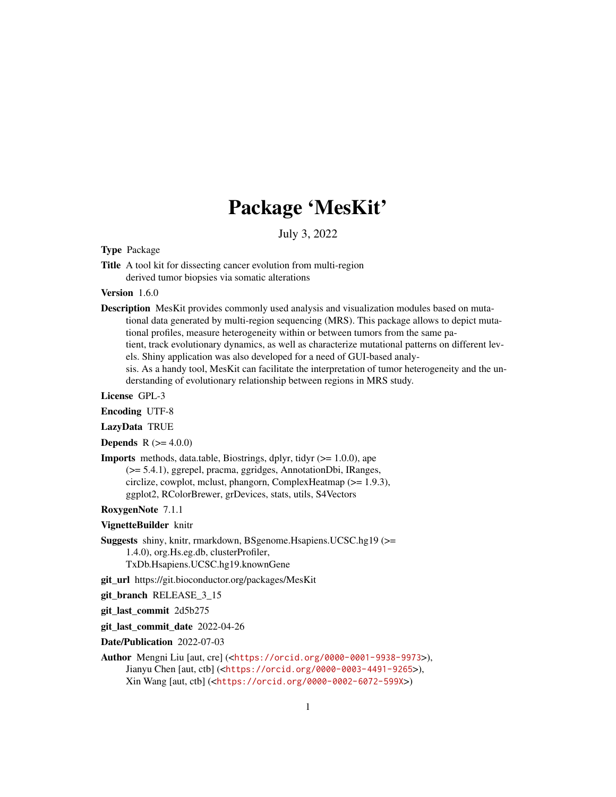# Package 'MesKit'

July 3, 2022

# Type Package

Title A tool kit for dissecting cancer evolution from multi-region derived tumor biopsies via somatic alterations

#### Version 1.6.0

- Description MesKit provides commonly used analysis and visualization modules based on mutational data generated by multi-region sequencing (MRS). This package allows to depict mutational profiles, measure heterogeneity within or between tumors from the same patient, track evolutionary dynamics, as well as characterize mutational patterns on different levels. Shiny application was also developed for a need of GUI-based analysis. As a handy tool, MesKit can facilitate the interpretation of tumor heterogeneity and the un
	- derstanding of evolutionary relationship between regions in MRS study.

License GPL-3

Encoding UTF-8

LazyData TRUE

**Depends** R  $(>= 4.0.0)$ 

**Imports** methods, data.table, Biostrings, dplyr, tidyr  $(>= 1.0.0)$ , ape (>= 5.4.1), ggrepel, pracma, ggridges, AnnotationDbi, IRanges, circlize, cowplot, mclust, phangorn, ComplexHeatmap (>= 1.9.3), ggplot2, RColorBrewer, grDevices, stats, utils, S4Vectors

RoxygenNote 7.1.1

#### VignetteBuilder knitr

Suggests shiny, knitr, rmarkdown, BSgenome.Hsapiens.UCSC.hg19 (>= 1.4.0), org.Hs.eg.db, clusterProfiler, TxDb.Hsapiens.UCSC.hg19.knownGene

git\_url https://git.bioconductor.org/packages/MesKit

git\_branch RELEASE\_3\_15

git\_last\_commit 2d5b275

git\_last\_commit\_date 2022-04-26

Date/Publication 2022-07-03

Author Mengni Liu [aut, cre] (<<https://orcid.org/0000-0001-9938-9973>>), Jianyu Chen [aut, ctb] (<<https://orcid.org/0000-0003-4491-9265>>), Xin Wang [aut, ctb] (<<https://orcid.org/0000-0002-6072-599X>>)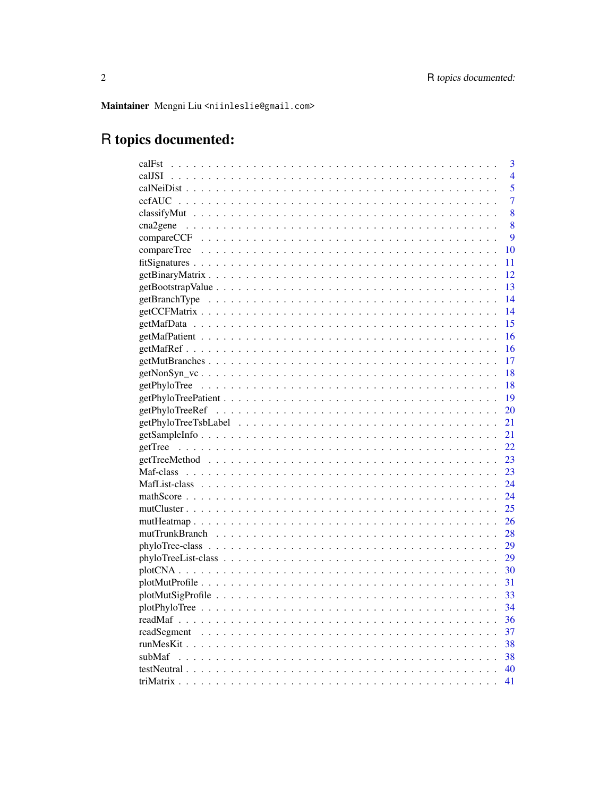Maintainer Mengni Liu <niinleslie@gmail.com>

# R topics documented:

| 3<br>calFst              |
|--------------------------|
| $\overline{4}$<br>calJSI |
| 5                        |
| 7                        |
| 8                        |
| 8                        |
| 9                        |
| compareTree<br>10        |
| 11                       |
| 12                       |
| 13                       |
| 14                       |
| 14                       |
| 15                       |
| 16                       |
| 16                       |
| 17                       |
| 18                       |
| 18                       |
| 19                       |
| 20                       |
| 21                       |
| 21                       |
| 22                       |
| 23                       |
| 23                       |
| 24                       |
| 24                       |
| 25                       |
| 26                       |
| - 28                     |
| 29                       |
| 29                       |
| 30                       |
| 31                       |
| 33                       |
| 34                       |
| 36                       |
| -37                      |
|                          |
| subMaf<br>- 38           |
| 40                       |
| 41                       |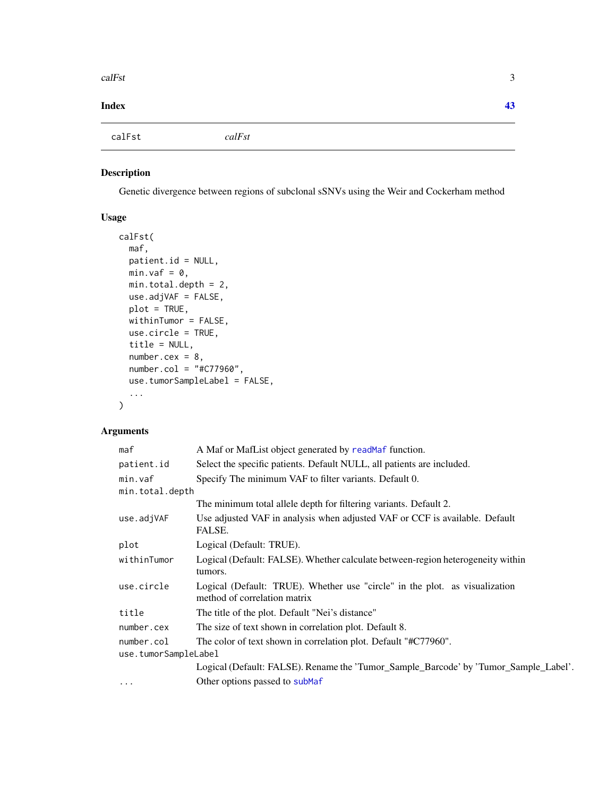<span id="page-2-0"></span>calFst 3

#### **Index** [43](#page-42-0)

calFst *calFst*

# Description

Genetic divergence between regions of subclonal sSNVs using the Weir and Cockerham method

# Usage

```
calFst(
 maf,
 patient.id = NULL,
 min.vaf = \theta,
 min.total.depth = 2,
 use.adjVAF = FALSE,
 plot = TRUE,
 withinTumor = FALSE,
 use.circle = TRUE,
  title = NULL,
 number.cex = 8,
 number.col = "#C77960",
 use.tumorSampleLabel = FALSE,
  ...
\mathcal{L}
```
# Arguments

| maf                  | A Maf or MafList object generated by readMaf function.                                                      |  |  |
|----------------------|-------------------------------------------------------------------------------------------------------------|--|--|
| patient.id           | Select the specific patients. Default NULL, all patients are included.                                      |  |  |
| min.vaf              | Specify The minimum VAF to filter variants. Default 0.                                                      |  |  |
| min.total.depth      |                                                                                                             |  |  |
|                      | The minimum total allele depth for filtering variants. Default 2.                                           |  |  |
| use.adjVAF           | Use adjusted VAF in analysis when adjusted VAF or CCF is available. Default<br>FALSE.                       |  |  |
| plot                 | Logical (Default: TRUE).                                                                                    |  |  |
| withinTumor          | Logical (Default: FALSE). Whether calculate between-region heterogeneity within<br>tumors.                  |  |  |
| use.circle           | Logical (Default: TRUE). Whether use "circle" in the plot. as visualization<br>method of correlation matrix |  |  |
| title                | The title of the plot. Default "Nei's distance"                                                             |  |  |
| number.cex           | The size of text shown in correlation plot. Default 8.                                                      |  |  |
| number.col           | The color of text shown in correlation plot. Default "#C77960".                                             |  |  |
| use.tumorSampleLabel |                                                                                                             |  |  |
|                      | Logical (Default: FALSE). Rename the 'Tumor_Sample_Barcode' by 'Tumor_Sample_Label'.                        |  |  |
| $\cdots$             | Other options passed to subMaf                                                                              |  |  |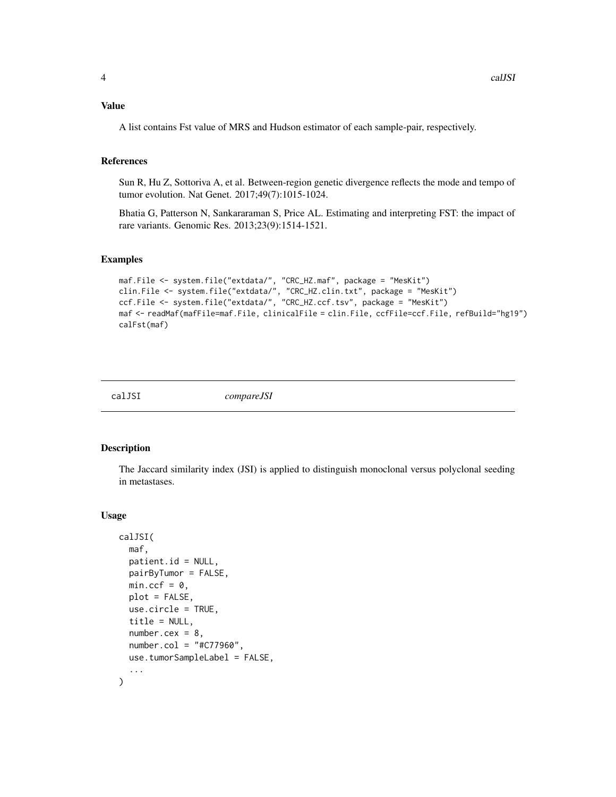# <span id="page-3-0"></span>Value

A list contains Fst value of MRS and Hudson estimator of each sample-pair, respectively.

#### References

Sun R, Hu Z, Sottoriva A, et al. Between-region genetic divergence reflects the mode and tempo of tumor evolution. Nat Genet. 2017;49(7):1015-1024.

Bhatia G, Patterson N, Sankararaman S, Price AL. Estimating and interpreting FST: the impact of rare variants. Genomic Res. 2013;23(9):1514-1521.

# Examples

```
maf.File <- system.file("extdata/", "CRC_HZ.maf", package = "MesKit")
clin.File <- system.file("extdata/", "CRC_HZ.clin.txt", package = "MesKit")
ccf.File <- system.file("extdata/", "CRC_HZ.ccf.tsv", package = "MesKit")
maf <- readMaf(mafFile=maf.File, clinicalFile = clin.File, ccfFile=ccf.File, refBuild="hg19")
calFst(maf)
```
calJSI *compareJSI*

#### Description

The Jaccard similarity index (JSI) is applied to distinguish monoclonal versus polyclonal seeding in metastases.

#### Usage

```
calJSI(
  maf,
  patient.id = NULL,
  pairByTumor = FALSE,
  min.ccf = 0,
  plot = FALSE,
  use.circle = TRUE,
  title = NULL,
  number.cex = 8,
  number.col = "#C77960",
  use.tumorSampleLabel = FALSE,
  ...
)
```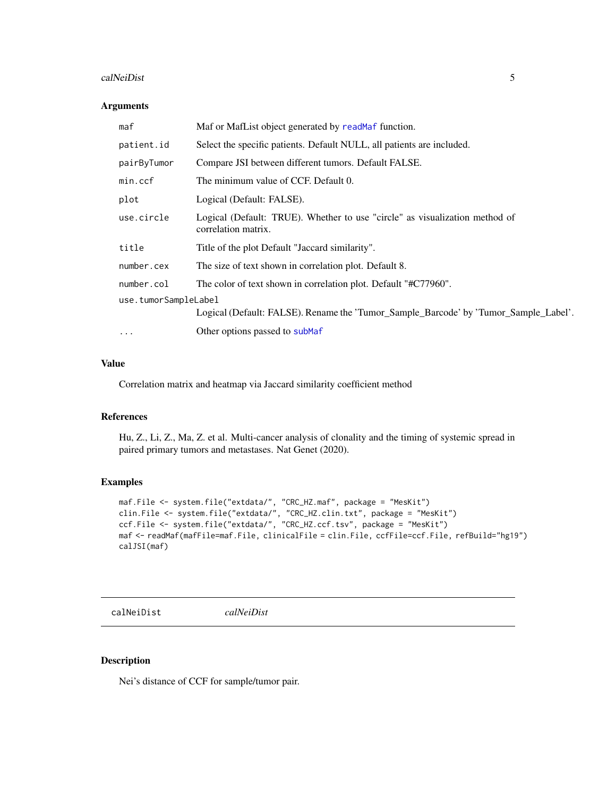#### <span id="page-4-0"></span>calNeiDist 5

# Arguments

| maf                  | Maf or MafList object generated by readMaf function.                                               |  |
|----------------------|----------------------------------------------------------------------------------------------------|--|
| patient.id           | Select the specific patients. Default NULL, all patients are included.                             |  |
| pairByTumor          | Compare JSI between different tumors. Default FALSE.                                               |  |
| min.ccf              | The minimum value of CCF. Default 0.                                                               |  |
| plot                 | Logical (Default: FALSE).                                                                          |  |
| use.circle           | Logical (Default: TRUE). Whether to use "circle" as visualization method of<br>correlation matrix. |  |
| title                | Title of the plot Default "Jaccard similarity".                                                    |  |
| number.cex           | The size of text shown in correlation plot. Default 8.                                             |  |
| number.col           | The color of text shown in correlation plot. Default "#C77960".                                    |  |
| use.tumorSampleLabel |                                                                                                    |  |
|                      | Logical (Default: FALSE). Rename the 'Tumor_Sample_Barcode' by 'Tumor_Sample_Label'.               |  |
| $\ddotsc$            | Other options passed to subMaf                                                                     |  |

#### Value

Correlation matrix and heatmap via Jaccard similarity coefficient method

#### References

Hu, Z., Li, Z., Ma, Z. et al. Multi-cancer analysis of clonality and the timing of systemic spread in paired primary tumors and metastases. Nat Genet (2020).

# Examples

```
maf.File <- system.file("extdata/", "CRC_HZ.maf", package = "MesKit")
clin.File <- system.file("extdata/", "CRC_HZ.clin.txt", package = "MesKit")
ccf.File <- system.file("extdata/", "CRC_HZ.ccf.tsv", package = "MesKit")
maf <- readMaf(mafFile=maf.File, clinicalFile = clin.File, ccfFile=ccf.File, refBuild="hg19")
calJSI(maf)
```
calNeiDist *calNeiDist*

# Description

Nei's distance of CCF for sample/tumor pair.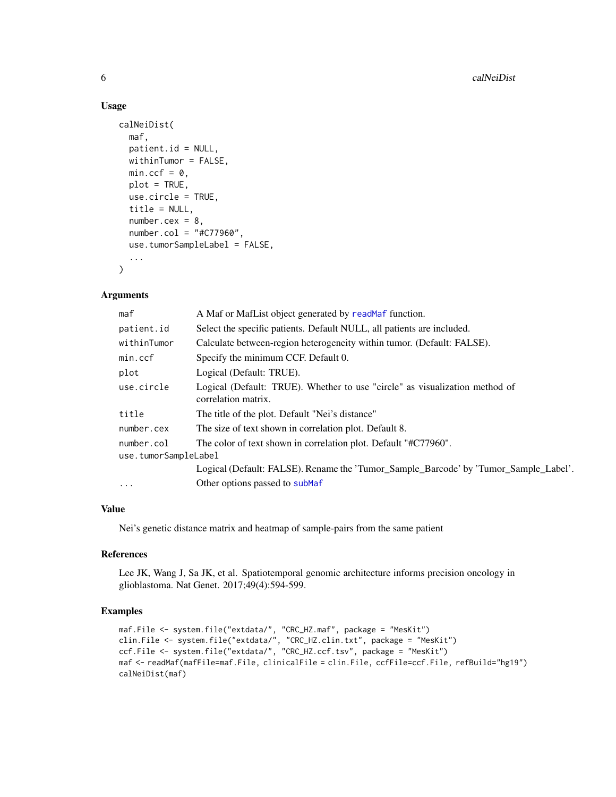# Usage

```
calNeiDist(
 maf,
  patient.id = NULL,
 withinTumor = FALSE,
  min.ccf = 0,
 plot = TRUE,
  use.circle = TRUE,
  title = NULL,
  number.cex = 8,
  number.col = "#C77960",
  use.tumorSampleLabel = FALSE,
  ...
\mathcal{L}
```
#### Arguments

| maf                  | A Maf or MafList object generated by readMaf function.                                             |  |
|----------------------|----------------------------------------------------------------------------------------------------|--|
| patient.id           | Select the specific patients. Default NULL, all patients are included.                             |  |
| withinTumor          | Calculate between-region heterogeneity within tumor. (Default: FALSE).                             |  |
| min.ccf              | Specify the minimum CCF. Default 0.                                                                |  |
| plot                 | Logical (Default: TRUE).                                                                           |  |
| use.circle           | Logical (Default: TRUE). Whether to use "circle" as visualization method of<br>correlation matrix. |  |
| title                | The title of the plot. Default "Nei's distance"                                                    |  |
| number.cex           | The size of text shown in correlation plot. Default 8.                                             |  |
| number.col           | The color of text shown in correlation plot. Default "#C77960".                                    |  |
| use.tumorSampleLabel |                                                                                                    |  |
|                      | Logical (Default: FALSE). Rename the 'Tumor_Sample_Barcode' by 'Tumor_Sample_Label'.               |  |
| .                    | Other options passed to subMaf                                                                     |  |

# Value

Nei's genetic distance matrix and heatmap of sample-pairs from the same patient

# References

Lee JK, Wang J, Sa JK, et al. Spatiotemporal genomic architecture informs precision oncology in glioblastoma. Nat Genet. 2017;49(4):594-599.

```
maf.File <- system.file("extdata/", "CRC_HZ.maf", package = "MesKit")
clin.File <- system.file("extdata/", "CRC_HZ.clin.txt", package = "MesKit")
ccf.File <- system.file("extdata/", "CRC_HZ.ccf.tsv", package = "MesKit")
maf <- readMaf(mafFile=maf.File, clinicalFile = clin.File, ccfFile=ccf.File, refBuild="hg19")
calNeiDist(maf)
```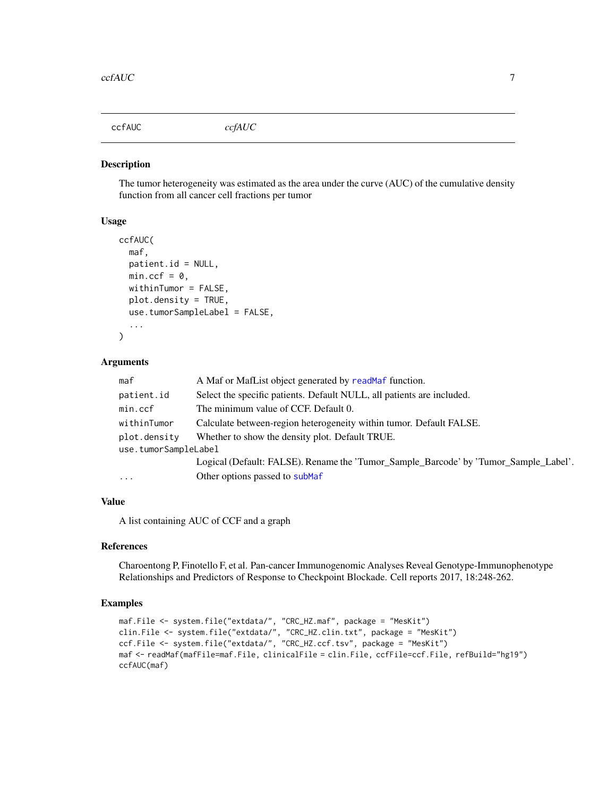<span id="page-6-0"></span>ccfAUC *ccfAUC*

#### Description

The tumor heterogeneity was estimated as the area under the curve (AUC) of the cumulative density function from all cancer cell fractions per tumor

# Usage

```
ccfAUC(
  maf,
  patient.id = NULL,
  min.ccf = 0,
  withinTumor = FALSE,
  plot.density = TRUE,
  use.tumorSampleLabel = FALSE,
  ...
)
```
#### Arguments

| maf                  | A Maf or MafList object generated by readMaf function.                               |  |
|----------------------|--------------------------------------------------------------------------------------|--|
| patient.id           | Select the specific patients. Default NULL, all patients are included.               |  |
| min.ccf              | The minimum value of CCF. Default 0.                                                 |  |
| withinTumor          | Calculate between-region heterogeneity within tumor. Default FALSE.                  |  |
| plot.density         | Whether to show the density plot. Default TRUE.                                      |  |
| use.tumorSampleLabel |                                                                                      |  |
|                      | Logical (Default: FALSE). Rename the 'Tumor_Sample_Barcode' by 'Tumor_Sample_Label'. |  |
| $\cdots$             | Other options passed to subMaf                                                       |  |
|                      |                                                                                      |  |

#### Value

A list containing AUC of CCF and a graph

#### References

Charoentong P, Finotello F, et al. Pan-cancer Immunogenomic Analyses Reveal Genotype-Immunophenotype Relationships and Predictors of Response to Checkpoint Blockade. Cell reports 2017, 18:248-262.

```
maf.File <- system.file("extdata/", "CRC_HZ.maf", package = "MesKit")
clin.File <- system.file("extdata/", "CRC_HZ.clin.txt", package = "MesKit")
ccf.File <- system.file("extdata/", "CRC_HZ.ccf.tsv", package = "MesKit")
maf <- readMaf(mafFile=maf.File, clinicalFile = clin.File, ccfFile=ccf.File, refBuild="hg19")
ccfAUC(maf)
```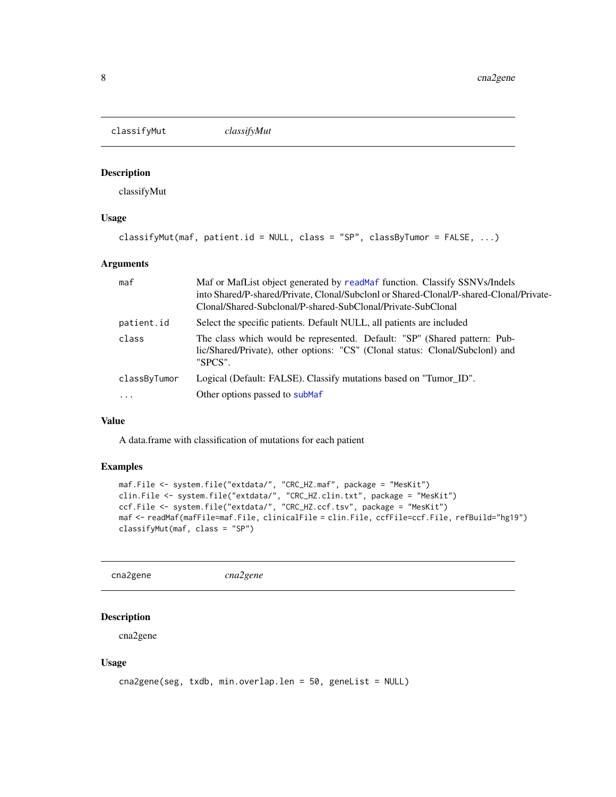<span id="page-7-0"></span>classifyMut *classifyMut*

#### Description

classifyMut

# Usage

```
classifyMut(maf, patient.id = NULL, class = "SP", classByTumor = FALSE, ...)
```
# Arguments

| maf          | Maf or MafList object generated by read Maf function. Classify SSNVs/Indels<br>into Shared/P-shared/Private, Clonal/Subclonl or Shared-Clonal/P-shared-Clonal/Private-<br>Clonal/Shared-Subclonal/P-shared-SubClonal/Private-SubClonal |  |
|--------------|----------------------------------------------------------------------------------------------------------------------------------------------------------------------------------------------------------------------------------------|--|
| patient.id   | Select the specific patients. Default NULL, all patients are included                                                                                                                                                                  |  |
| class        | The class which would be represented. Default: "SP" (Shared pattern: Pub-<br>lic/Shared/Private), other options: "CS" (Clonal status: Clonal/Subclonl) and<br>"SPCS".                                                                  |  |
| classByTumor | Logical (Default: FALSE). Classify mutations based on "Tumor_ID".                                                                                                                                                                      |  |
| $\cdots$     | Other options passed to subMaf                                                                                                                                                                                                         |  |

# Value

A data.frame with classification of mutations for each patient

# Examples

```
maf.File <- system.file("extdata/", "CRC_HZ.maf", package = "MesKit")
clin.File <- system.file("extdata/", "CRC_HZ.clin.txt", package = "MesKit")
ccf.File <- system.file("extdata/", "CRC_HZ.ccf.tsv", package = "MesKit")
maf <- readMaf(mafFile=maf.File, clinicalFile = clin.File, ccfFile=ccf.File, refBuild="hg19")
classifyMut(maf, class = "SP")
```
<span id="page-7-1"></span>cna2gene *cna2gene*

# Description

cna2gene

#### Usage

```
cna2gene(seg, txdb, min.overlap.len = 50, geneList = NULL)
```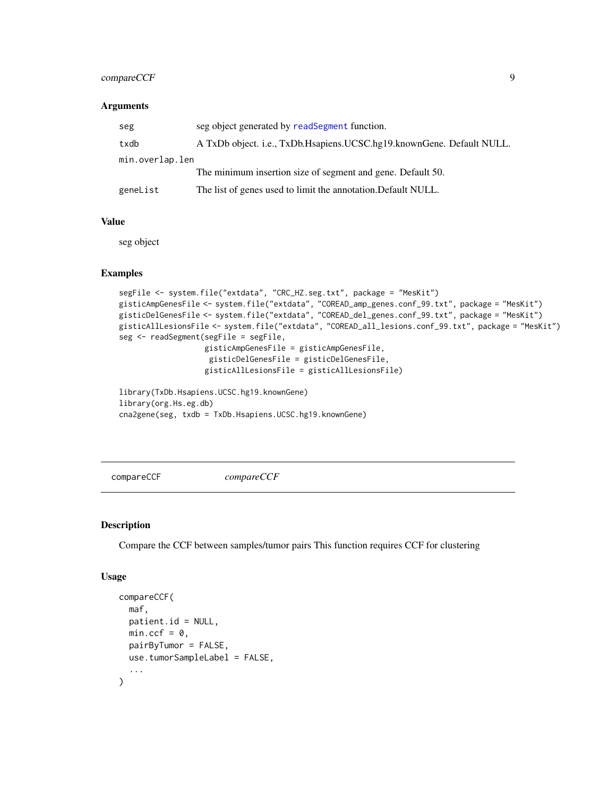# <span id="page-8-0"></span>compareCCF 9

#### **Arguments**

| seg             | seg object generated by readSegment function.                         |  |
|-----------------|-----------------------------------------------------------------------|--|
| txdb            | A TxDb object. i.e., TxDb.Hsapiens.UCSC.hg19.knownGene. Default NULL. |  |
| min.overlap.len |                                                                       |  |
|                 | The minimum insertion size of segment and gene. Default 50.           |  |
| geneList        | The list of genes used to limit the annotation. Default NULL.         |  |

# Value

seg object

#### Examples

```
segFile <- system.file("extdata", "CRC_HZ.seg.txt", package = "MesKit")
gisticAmpGenesFile <- system.file("extdata", "COREAD_amp_genes.conf_99.txt", package = "MesKit")
gisticDelGenesFile <- system.file("extdata", "COREAD_del_genes.conf_99.txt", package = "MesKit")
gisticAllLesionsFile <- system.file("extdata", "COREAD_all_lesions.conf_99.txt", package = "MesKit")
seg <- readSegment(segFile = segFile,
                   gisticAmpGenesFile = gisticAmpGenesFile,
                    gisticDelGenesFile = gisticDelGenesFile,
                   gisticAllLesionsFile = gisticAllLesionsFile)
```
library(TxDb.Hsapiens.UCSC.hg19.knownGene) library(org.Hs.eg.db) cna2gene(seg, txdb = TxDb.Hsapiens.UCSC.hg19.knownGene)

compareCCF *compareCCF*

#### Description

Compare the CCF between samples/tumor pairs This function requires CCF for clustering

#### Usage

```
compareCCF(
 maf,
 patient.id = NULL,
 min.ccf = 0,
 pairByTumor = FALSE,
 use.tumorSampleLabel = FALSE,
  ...
)
```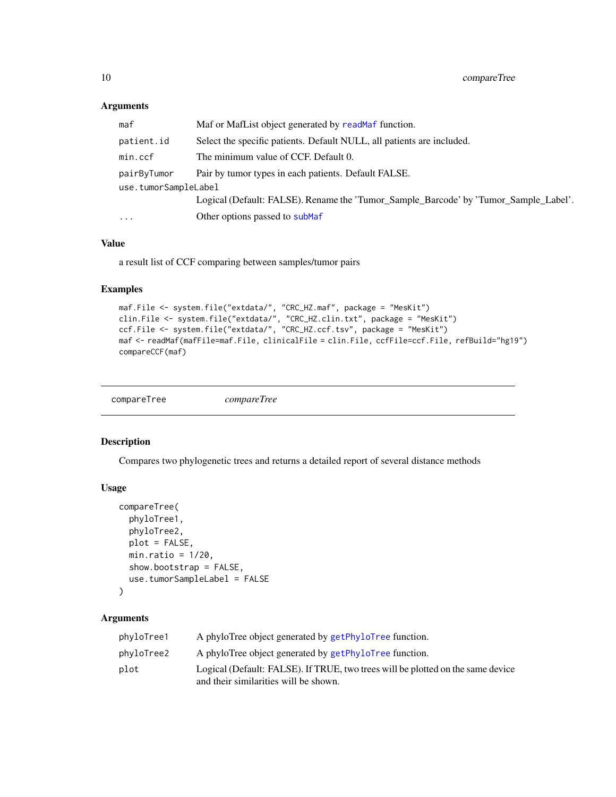# Arguments

| maf                  | Maf or MafList object generated by readMaf function.                                 |  |
|----------------------|--------------------------------------------------------------------------------------|--|
| patient.id           | Select the specific patients. Default NULL, all patients are included.               |  |
| min.ccf              | The minimum value of CCF. Default 0.                                                 |  |
| pairByTumor          | Pair by tumor types in each patients. Default FALSE.                                 |  |
| use.tumorSampleLabel |                                                                                      |  |
|                      | Logical (Default: FALSE). Rename the 'Tumor Sample Barcode' by 'Tumor Sample Label'. |  |
| $\cdots$             | Other options passed to subMaf                                                       |  |
|                      |                                                                                      |  |

# Value

a result list of CCF comparing between samples/tumor pairs

# Examples

```
maf.File <- system.file("extdata/", "CRC_HZ.maf", package = "MesKit")
clin.File <- system.file("extdata/", "CRC_HZ.clin.txt", package = "MesKit")
ccf.File <- system.file("extdata/", "CRC_HZ.ccf.tsv", package = "MesKit")
maf <- readMaf(mafFile=maf.File, clinicalFile = clin.File, ccfFile=ccf.File, refBuild="hg19")
compareCCF(maf)
```

```
compareTree compareTree
```
# Description

Compares two phylogenetic trees and returns a detailed report of several distance methods

# Usage

```
compareTree(
 phyloTree1,
  phyloTree2,
 plot = FALSE,
 min.ratio = 1/20,
  show.bootstrap = FALSE,
  use.tumorSampleLabel = FALSE
```
# )

# Arguments

| phyloTree1 | A phyloTree object generated by getPhyloTree function.                          |
|------------|---------------------------------------------------------------------------------|
| phyloTree2 | A phyloTree object generated by getPhyloTree function.                          |
| plot       | Logical (Default: FALSE). If TRUE, two trees will be plotted on the same device |
|            | and their similarities will be shown.                                           |

<span id="page-9-0"></span>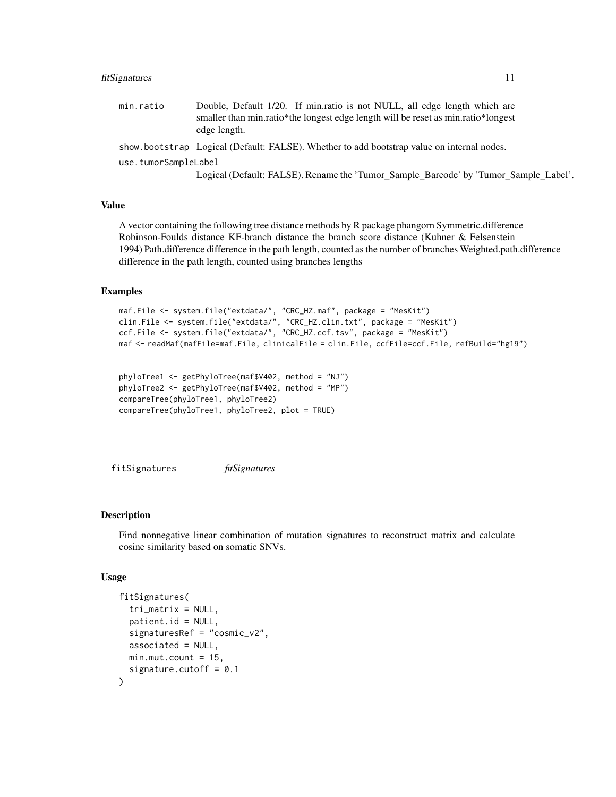#### <span id="page-10-0"></span>fitSignatures 11

min.ratio Double, Default 1/20. If min.ratio is not NULL, all edge length which are smaller than min.ratio\*the longest edge length will be reset as min.ratio\*longest edge length.

show.bootstrap Logical (Default: FALSE). Whether to add bootstrap value on internal nodes.

use.tumorSampleLabel

Logical (Default: FALSE). Rename the 'Tumor\_Sample\_Barcode' by 'Tumor\_Sample\_Label'.

# Value

A vector containing the following tree distance methods by R package phangorn Symmetric.difference Robinson-Foulds distance KF-branch distance the branch score distance (Kuhner & Felsenstein 1994) Path.difference difference in the path length, counted as the number of branches Weighted.path.difference difference in the path length, counted using branches lengths

#### Examples

```
maf.File <- system.file("extdata/", "CRC_HZ.maf", package = "MesKit")
clin.File <- system.file("extdata/", "CRC_HZ.clin.txt", package = "MesKit")
ccf.File <- system.file("extdata/", "CRC_HZ.ccf.tsv", package = "MesKit")
maf <- readMaf(mafFile=maf.File, clinicalFile = clin.File, ccfFile=ccf.File, refBuild="hg19")
```

```
phyloTree1 <- getPhyloTree(maf$V402, method = "NJ")
phyloTree2 <- getPhyloTree(maf$V402, method = "MP")
compareTree(phyloTree1, phyloTree2)
compareTree(phyloTree1, phyloTree2, plot = TRUE)
```
<span id="page-10-1"></span>fitSignatures *fitSignatures*

#### Description

Find nonnegative linear combination of mutation signatures to reconstruct matrix and calculate cosine similarity based on somatic SNVs.

#### Usage

```
fitSignatures(
  tri_matrix = NULL,
  pational = NULL,
  signaturesRef = "cosmic_v2",
  associated = NULL,
 min.mut.count = 15,
  signature.cutoff = 0.1)
```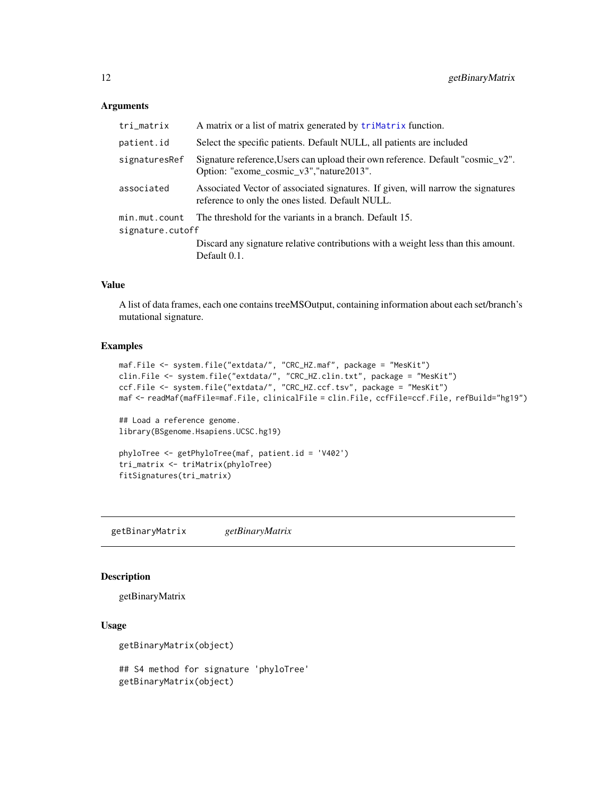#### <span id="page-11-0"></span>Arguments

| tri_matrix                        | A matrix or a list of matrix generated by triMatrix function.                                                                        |  |  |
|-----------------------------------|--------------------------------------------------------------------------------------------------------------------------------------|--|--|
| patient.id                        | Select the specific patients. Default NULL, all patients are included                                                                |  |  |
| signaturesRef                     | Signature reference, Users can upload their own reference. Default "cosmic_v2".<br>Option: "exome_cosmic_v3","nature2013".           |  |  |
| associated                        | Associated Vector of associated signatures. If given, will narrow the signatures<br>reference to only the ones listed. Default NULL. |  |  |
| min.mut.count<br>signature.cutoff | The threshold for the variants in a branch. Default 15.                                                                              |  |  |
|                                   | Discard any signature relative contributions with a weight less than this amount.<br>Default 0.1.                                    |  |  |

# Value

A list of data frames, each one contains treeMSOutput, containing information about each set/branch's mutational signature.

# Examples

```
maf.File <- system.file("extdata/", "CRC_HZ.maf", package = "MesKit")
clin.File <- system.file("extdata/", "CRC_HZ.clin.txt", package = "MesKit")
ccf.File <- system.file("extdata/", "CRC_HZ.ccf.tsv", package = "MesKit")
maf <- readMaf(mafFile=maf.File, clinicalFile = clin.File, ccfFile=ccf.File, refBuild="hg19")
## Load a reference genome.
library(BSgenome.Hsapiens.UCSC.hg19)
```

```
phyloTree <- getPhyloTree(maf, patient.id = 'V402')
tri_matrix <- triMatrix(phyloTree)
fitSignatures(tri_matrix)
```
getBinaryMatrix *getBinaryMatrix*

## Description

getBinaryMatrix

#### Usage

```
getBinaryMatrix(object)
```
## S4 method for signature 'phyloTree' getBinaryMatrix(object)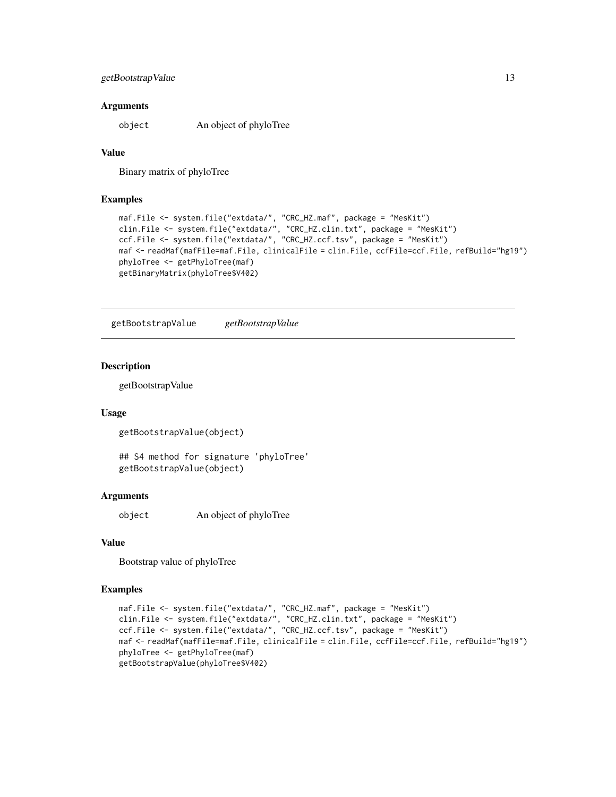# <span id="page-12-0"></span>getBootstrapValue 13

#### **Arguments**

object An object of phyloTree

# Value

Binary matrix of phyloTree

#### Examples

```
maf.File <- system.file("extdata/", "CRC_HZ.maf", package = "MesKit")
clin.File <- system.file("extdata/", "CRC_HZ.clin.txt", package = "MesKit")
ccf.File <- system.file("extdata/", "CRC_HZ.ccf.tsv", package = "MesKit")
maf <- readMaf(mafFile=maf.File, clinicalFile = clin.File, ccfFile=ccf.File, refBuild="hg19")
phyloTree <- getPhyloTree(maf)
getBinaryMatrix(phyloTree$V402)
```
getBootstrapValue *getBootstrapValue*

#### Description

getBootstrapValue

## Usage

getBootstrapValue(object)

## S4 method for signature 'phyloTree' getBootstrapValue(object)

#### Arguments

object An object of phyloTree

# Value

Bootstrap value of phyloTree

```
maf.File <- system.file("extdata/", "CRC_HZ.maf", package = "MesKit")
clin.File <- system.file("extdata/", "CRC_HZ.clin.txt", package = "MesKit")
ccf.File <- system.file("extdata/", "CRC_HZ.ccf.tsv", package = "MesKit")
maf <- readMaf(mafFile=maf.File, clinicalFile = clin.File, ccfFile=ccf.File, refBuild="hg19")
phyloTree <- getPhyloTree(maf)
getBootstrapValue(phyloTree$V402)
```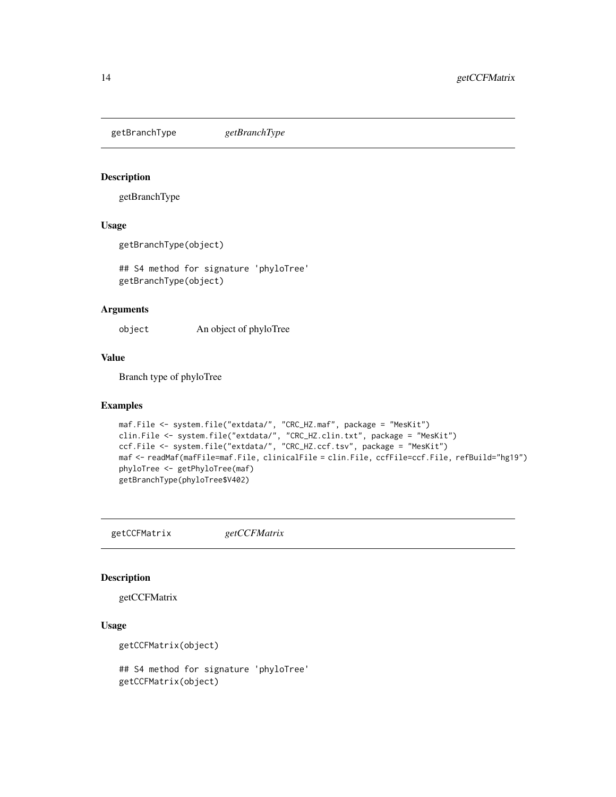<span id="page-13-0"></span>getBranchType *getBranchType*

# Description

getBranchType

# Usage

getBranchType(object)

## S4 method for signature 'phyloTree' getBranchType(object)

# Arguments

object An object of phyloTree

# Value

Branch type of phyloTree

#### Examples

```
maf.File <- system.file("extdata/", "CRC_HZ.maf", package = "MesKit")
clin.File <- system.file("extdata/", "CRC_HZ.clin.txt", package = "MesKit")
ccf.File <- system.file("extdata/", "CRC_HZ.ccf.tsv", package = "MesKit")
maf <- readMaf(mafFile=maf.File, clinicalFile = clin.File, ccfFile=ccf.File, refBuild="hg19")
phyloTree <- getPhyloTree(maf)
getBranchType(phyloTree$V402)
```
getCCFMatrix *getCCFMatrix*

#### Description

getCCFMatrix

# Usage

getCCFMatrix(object)

## S4 method for signature 'phyloTree' getCCFMatrix(object)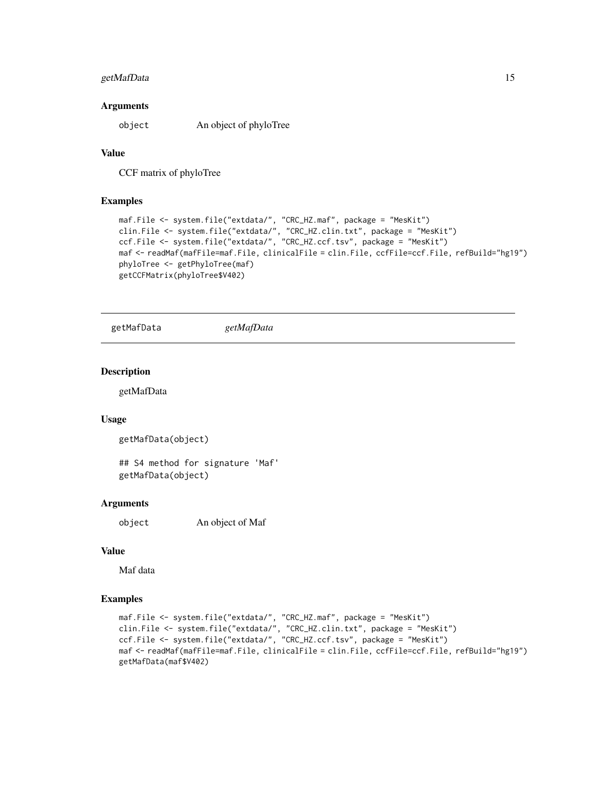# <span id="page-14-0"></span>getMafData 15

#### **Arguments**

object An object of phyloTree

#### Value

CCF matrix of phyloTree

#### Examples

```
maf.File <- system.file("extdata/", "CRC_HZ.maf", package = "MesKit")
clin.File <- system.file("extdata/", "CRC_HZ.clin.txt", package = "MesKit")
ccf.File <- system.file("extdata/", "CRC_HZ.ccf.tsv", package = "MesKit")
maf <- readMaf(mafFile=maf.File, clinicalFile = clin.File, ccfFile=ccf.File, refBuild="hg19")
phyloTree <- getPhyloTree(maf)
getCCFMatrix(phyloTree$V402)
```
getMafData *getMafData*

# Description

getMafData

#### Usage

```
getMafData(object)
```
## S4 method for signature 'Maf' getMafData(object)

#### Arguments

object An object of Maf

# Value

Maf data

```
maf.File <- system.file("extdata/", "CRC_HZ.maf", package = "MesKit")
clin.File <- system.file("extdata/", "CRC_HZ.clin.txt", package = "MesKit")
ccf.File <- system.file("extdata/", "CRC_HZ.ccf.tsv", package = "MesKit")
maf <- readMaf(mafFile=maf.File, clinicalFile = clin.File, ccfFile=ccf.File, refBuild="hg19")
getMafData(maf$V402)
```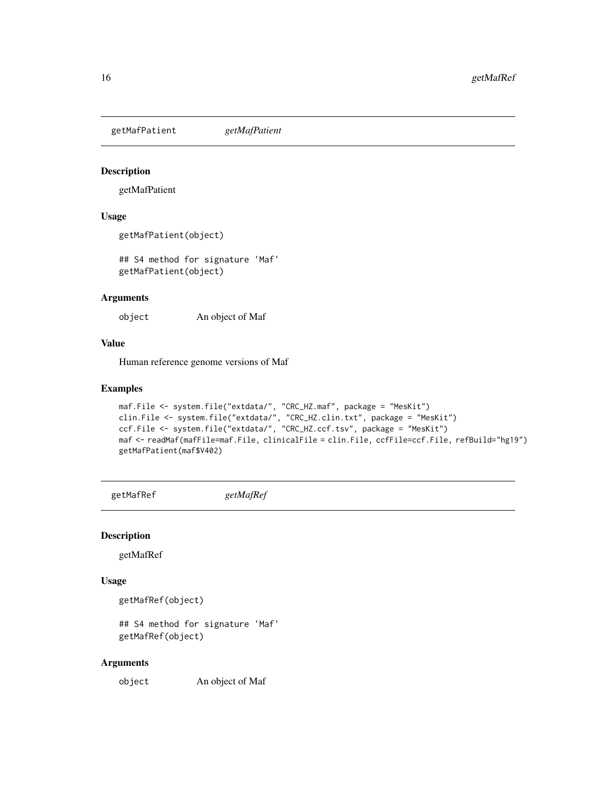<span id="page-15-0"></span>getMafPatient *getMafPatient*

# Description

getMafPatient

# Usage

```
getMafPatient(object)
```
## S4 method for signature 'Maf' getMafPatient(object)

# Arguments

object An object of Maf

# Value

Human reference genome versions of Maf

# Examples

```
maf.File <- system.file("extdata/", "CRC_HZ.maf", package = "MesKit")
clin.File <- system.file("extdata/", "CRC_HZ.clin.txt", package = "MesKit")
ccf.File <- system.file("extdata/", "CRC_HZ.ccf.tsv", package = "MesKit")
maf <- readMaf(mafFile=maf.File, clinicalFile = clin.File, ccfFile=ccf.File, refBuild="hg19")
getMafPatient(maf$V402)
```
getMafRef *getMafRef*

#### Description

getMafRef

# Usage

getMafRef(object)

## S4 method for signature 'Maf' getMafRef(object)

#### Arguments

object An object of Maf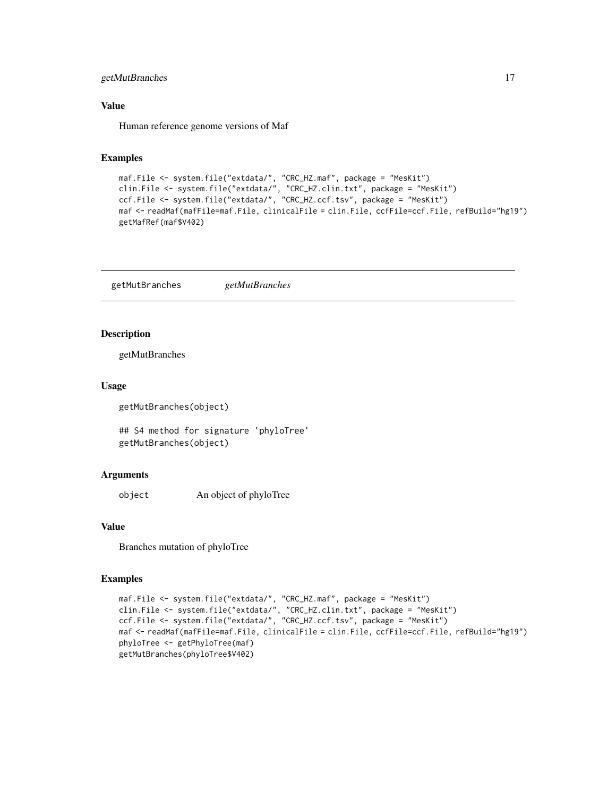# <span id="page-16-0"></span>getMutBranches 17

# Value

Human reference genome versions of Maf

#### Examples

```
maf.File <- system.file("extdata/", "CRC_HZ.maf", package = "MesKit")
clin.File <- system.file("extdata/", "CRC_HZ.clin.txt", package = "MesKit")
ccf.File <- system.file("extdata/", "CRC_HZ.ccf.tsv", package = "MesKit")
maf <- readMaf(mafFile=maf.File, clinicalFile = clin.File, ccfFile=ccf.File, refBuild="hg19")
getMafRef(maf$V402)
```
getMutBranches *getMutBranches*

#### Description

getMutBranches

#### Usage

getMutBranches(object)

## S4 method for signature 'phyloTree' getMutBranches(object)

#### Arguments

object An object of phyloTree

## Value

Branches mutation of phyloTree

```
maf.File <- system.file("extdata/", "CRC_HZ.maf", package = "MesKit")
clin.File <- system.file("extdata/", "CRC_HZ.clin.txt", package = "MesKit")
ccf.File <- system.file("extdata/", "CRC_HZ.ccf.tsv", package = "MesKit")
maf <- readMaf(mafFile=maf.File, clinicalFile = clin.File, ccfFile=ccf.File, refBuild="hg19")
phyloTree <- getPhyloTree(maf)
getMutBranches(phyloTree$V402)
```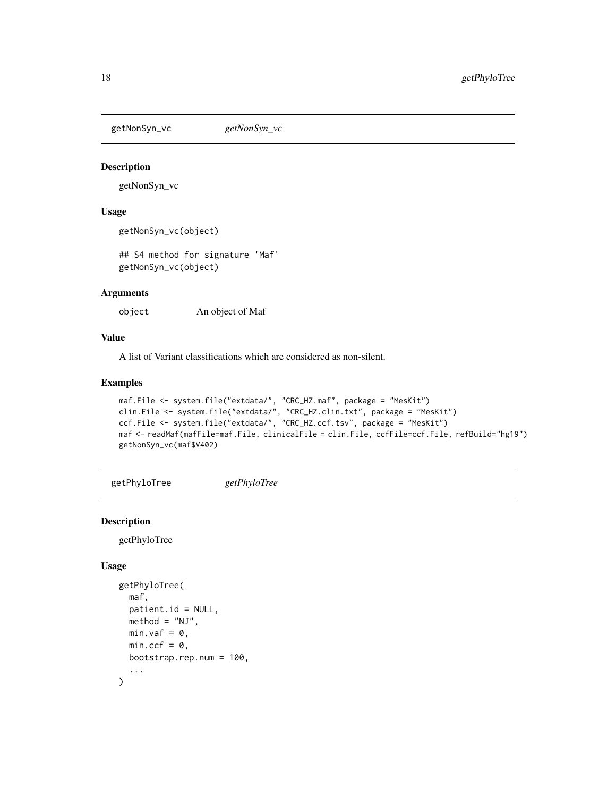<span id="page-17-0"></span>getNonSyn\_vc *getNonSyn\_vc*

#### Description

getNonSyn\_vc

#### Usage

getNonSyn\_vc(object)

## S4 method for signature 'Maf' getNonSyn\_vc(object)

# Arguments

object An object of Maf

# Value

A list of Variant classifications which are considered as non-silent.

# Examples

```
maf.File <- system.file("extdata/", "CRC_HZ.maf", package = "MesKit")
clin.File <- system.file("extdata/", "CRC_HZ.clin.txt", package = "MesKit")
ccf.File <- system.file("extdata/", "CRC_HZ.ccf.tsv", package = "MesKit")
maf <- readMaf(mafFile=maf.File, clinicalFile = clin.File, ccfFile=ccf.File, refBuild="hg19")
getNonSyn_vc(maf$V402)
```
<span id="page-17-1"></span>getPhyloTree *getPhyloTree*

# Description

getPhyloTree

#### Usage

```
getPhyloTree(
  maf,
 patient.id = NULL,
 method = "NJ".min.\text{vaf} = 0,
 min.ccf = 0,
 bootstrap.rep.num = 100,
  ...
)
```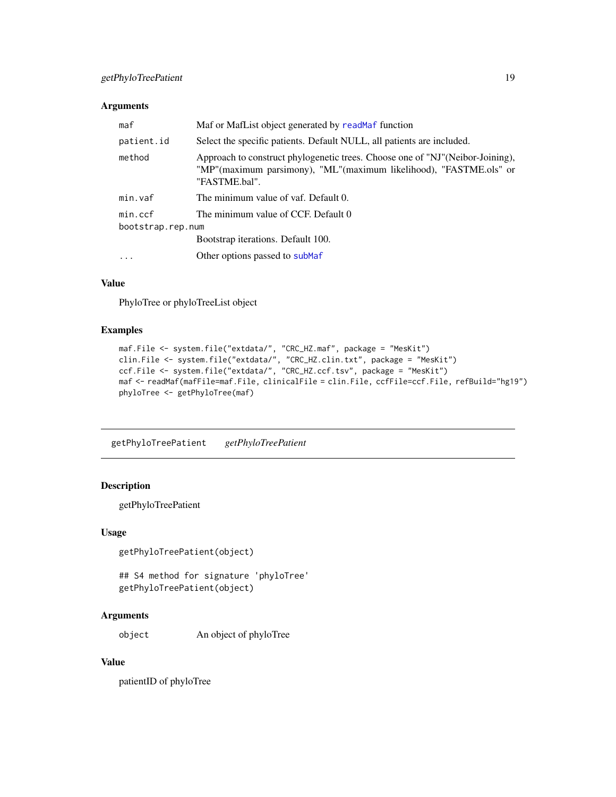#### <span id="page-18-0"></span>Arguments

| maf               | Maf or MafList object generated by readMaf function                                                                                                                  |  |
|-------------------|----------------------------------------------------------------------------------------------------------------------------------------------------------------------|--|
| patient.id        | Select the specific patients. Default NULL, all patients are included.                                                                                               |  |
| method            | Approach to construct phylogenetic trees. Choose one of "NJ"(Neibor-Joining),<br>"MP"(maximum parsimony), "ML"(maximum likelihood), "FASTME.ols" or<br>"FASTME.bal". |  |
| min.vaf           | The minimum value of vaf. Default 0.                                                                                                                                 |  |
| min.ccf           | The minimum value of CCF. Default 0                                                                                                                                  |  |
| bootstrap.rep.num |                                                                                                                                                                      |  |
|                   | Bootstrap iterations. Default 100.                                                                                                                                   |  |
| $\cdot$           | Other options passed to subMaf                                                                                                                                       |  |

# Value

PhyloTree or phyloTreeList object

# Examples

```
maf.File <- system.file("extdata/", "CRC_HZ.maf", package = "MesKit")
clin.File <- system.file("extdata/", "CRC_HZ.clin.txt", package = "MesKit")
ccf.File <- system.file("extdata/", "CRC_HZ.ccf.tsv", package = "MesKit")
maf <- readMaf(mafFile=maf.File, clinicalFile = clin.File, ccfFile=ccf.File, refBuild="hg19")
phyloTree <- getPhyloTree(maf)
```
getPhyloTreePatient *getPhyloTreePatient*

#### Description

getPhyloTreePatient

# Usage

```
getPhyloTreePatient(object)
```
## S4 method for signature 'phyloTree' getPhyloTreePatient(object)

# Arguments

object An object of phyloTree

# Value

patientID of phyloTree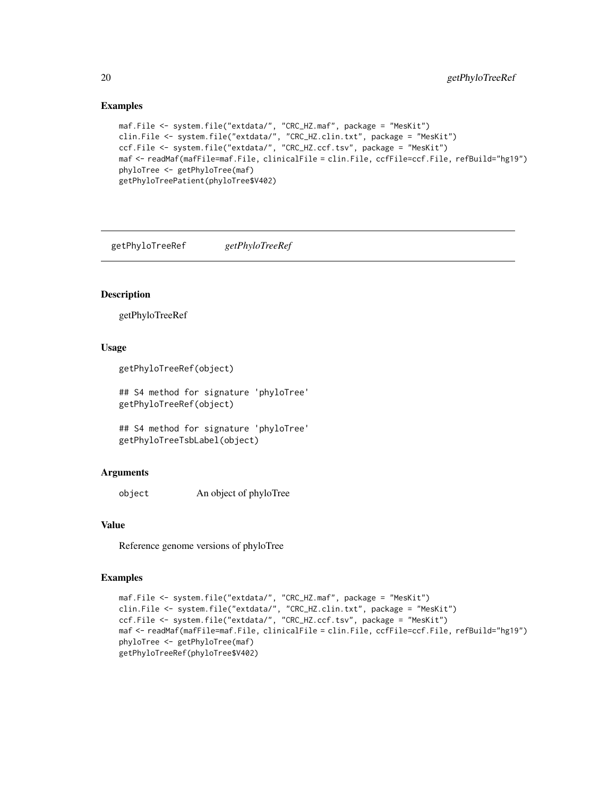## Examples

```
maf.File <- system.file("extdata/", "CRC_HZ.maf", package = "MesKit")
clin.File <- system.file("extdata/", "CRC_HZ.clin.txt", package = "MesKit")
ccf.File <- system.file("extdata/", "CRC_HZ.ccf.tsv", package = "MesKit")
maf <- readMaf(mafFile=maf.File, clinicalFile = clin.File, ccfFile=ccf.File, refBuild="hg19")
phyloTree <- getPhyloTree(maf)
getPhyloTreePatient(phyloTree$V402)
```
getPhyloTreeRef *getPhyloTreeRef*

#### Description

getPhyloTreeRef

# Usage

```
getPhyloTreeRef(object)
```
## S4 method for signature 'phyloTree' getPhyloTreeRef(object)

```
## S4 method for signature 'phyloTree'
getPhyloTreeTsbLabel(object)
```
#### Arguments

object An object of phyloTree

# Value

Reference genome versions of phyloTree

```
maf.File <- system.file("extdata/", "CRC_HZ.maf", package = "MesKit")
clin.File <- system.file("extdata/", "CRC_HZ.clin.txt", package = "MesKit")
ccf.File <- system.file("extdata/", "CRC_HZ.ccf.tsv", package = "MesKit")
maf <- readMaf(mafFile=maf.File, clinicalFile = clin.File, ccfFile=ccf.File, refBuild="hg19")
phyloTree <- getPhyloTree(maf)
getPhyloTreeRef(phyloTree$V402)
```
<span id="page-19-0"></span>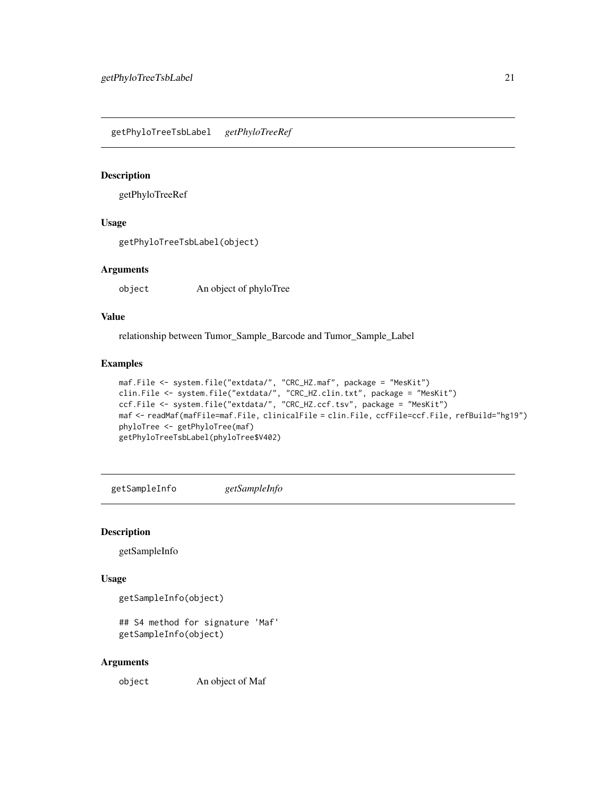<span id="page-20-0"></span>getPhyloTreeTsbLabel *getPhyloTreeRef*

#### Description

getPhyloTreeRef

# Usage

getPhyloTreeTsbLabel(object)

#### Arguments

object An object of phyloTree

# Value

relationship between Tumor\_Sample\_Barcode and Tumor\_Sample\_Label

#### Examples

```
maf.File <- system.file("extdata/", "CRC_HZ.maf", package = "MesKit")
clin.File <- system.file("extdata/", "CRC_HZ.clin.txt", package = "MesKit")
ccf.File <- system.file("extdata/", "CRC_HZ.ccf.tsv", package = "MesKit")
maf <- readMaf(mafFile=maf.File, clinicalFile = clin.File, ccfFile=ccf.File, refBuild="hg19")
phyloTree <- getPhyloTree(maf)
getPhyloTreeTsbLabel(phyloTree$V402)
```
getSampleInfo *getSampleInfo*

# Description

getSampleInfo

# Usage

```
getSampleInfo(object)
```

```
## S4 method for signature 'Maf'
getSampleInfo(object)
```
#### Arguments

object An object of Maf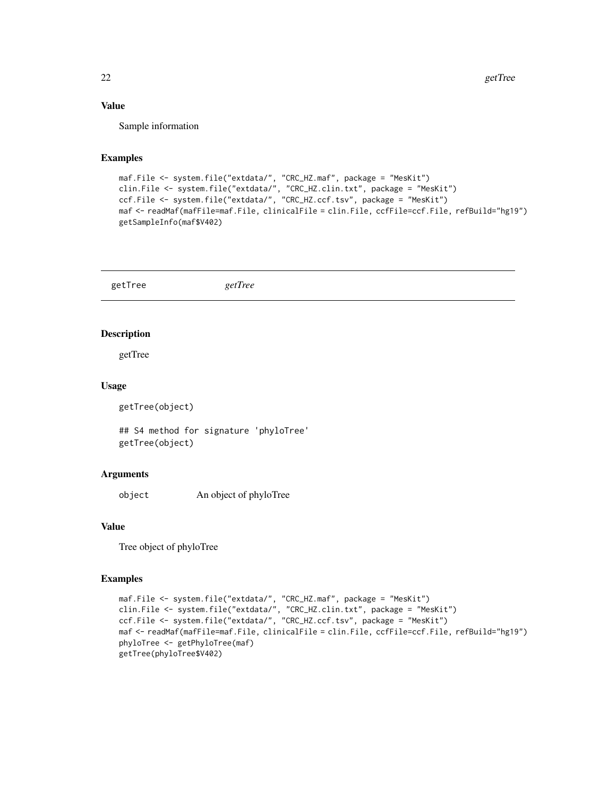# <span id="page-21-0"></span>Value

Sample information

#### Examples

```
maf.File <- system.file("extdata/", "CRC_HZ.maf", package = "MesKit")
clin.File <- system.file("extdata/", "CRC_HZ.clin.txt", package = "MesKit")
ccf.File <- system.file("extdata/", "CRC_HZ.ccf.tsv", package = "MesKit")
maf <- readMaf(mafFile=maf.File, clinicalFile = clin.File, ccfFile=ccf.File, refBuild="hg19")
getSampleInfo(maf$V402)
```

|              | getTree                                | getTree |
|--------------|----------------------------------------|---------|
|              |                                        |         |
|              | <b>Description</b>                     |         |
|              | getTree                                |         |
| <b>Usage</b> |                                        |         |
|              | getTree(object)                        |         |
|              | ## S4 method for signature 'phyloTree' |         |

getTree(object)

#### Arguments

object An object of phyloTree

# Value

Tree object of phyloTree

```
maf.File <- system.file("extdata/", "CRC_HZ.maf", package = "MesKit")
clin.File <- system.file("extdata/", "CRC_HZ.clin.txt", package = "MesKit")
ccf.File <- system.file("extdata/", "CRC_HZ.ccf.tsv", package = "MesKit")
maf <- readMaf(mafFile=maf.File, clinicalFile = clin.File, ccfFile=ccf.File, refBuild="hg19")
phyloTree <- getPhyloTree(maf)
getTree(phyloTree$V402)
```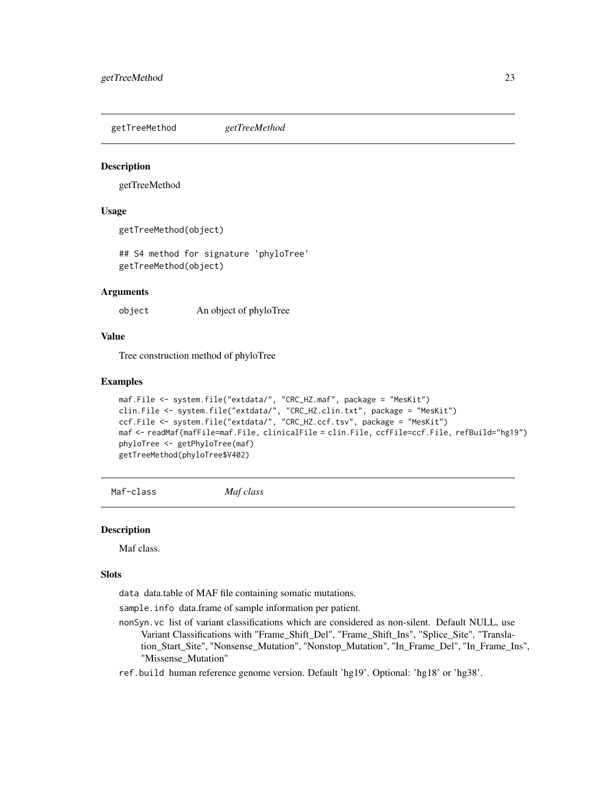<span id="page-22-0"></span>getTreeMethod *getTreeMethod*

#### Description

getTreeMethod

# Usage

getTreeMethod(object)

## S4 method for signature 'phyloTree' getTreeMethod(object)

#### Arguments

object An object of phyloTree

#### Value

Tree construction method of phyloTree

#### Examples

```
maf.File <- system.file("extdata/", "CRC_HZ.maf", package = "MesKit")
clin.File <- system.file("extdata/", "CRC_HZ.clin.txt", package = "MesKit")
ccf.File <- system.file("extdata/", "CRC_HZ.ccf.tsv", package = "MesKit")
maf <- readMaf(mafFile=maf.File, clinicalFile = clin.File, ccfFile=ccf.File, refBuild="hg19")
phyloTree <- getPhyloTree(maf)
getTreeMethod(phyloTree$V402)
```
Maf-class *Maf class*

#### <span id="page-22-1"></span>Description

Maf class.

#### Slots

data data.table of MAF file containing somatic mutations.

sample. info data.frame of sample information per patient.

- nonSyn.vc list of variant classifications which are considered as non-silent. Default NULL, use Variant Classifications with "Frame\_Shift\_Del", "Frame\_Shift\_Ins", "Splice\_Site", "Translation\_Start\_Site", "Nonsense\_Mutation", "Nonstop\_Mutation", "In\_Frame\_Del", "In\_Frame\_Ins", "Missense\_Mutation"
- ref.build human reference genome version. Default 'hg19'. Optional: 'hg18' or 'hg38'.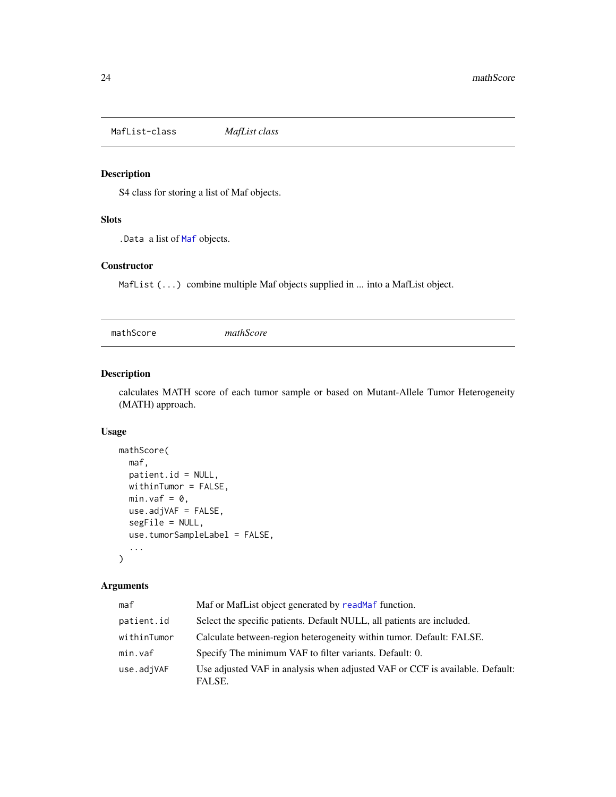<span id="page-23-0"></span>MafList-class *MafList class*

# Description

S4 class for storing a list of Maf objects.

# Slots

.Data a list of [Maf](#page-22-1) objects.

# **Constructor**

MafList (...) combine multiple Maf objects supplied in ... into a MafList object.

mathScore *mathScore*

# Description

calculates MATH score of each tumor sample or based on Mutant-Allele Tumor Heterogeneity (MATH) approach.

# Usage

```
mathScore(
 maf,
 patient.id = NULL,
 withinTumor = FALSE,
 min.vaf = 0,
 use.adjVAF = FALSE,
  segFile = NULL,
 use.tumorSampleLabel = FALSE,
  ...
)
```
# Arguments

| maf         | Maf or MafList object generated by readMaf function.                                   |
|-------------|----------------------------------------------------------------------------------------|
| patient.id  | Select the specific patients. Default NULL, all patients are included.                 |
| withinTumor | Calculate between-region heterogeneity within tumor. Default: FALSE.                   |
| min.vaf     | Specify The minimum VAF to filter variants. Default: 0.                                |
| use.adjVAF  | Use adjusted VAF in analysis when adjusted VAF or CCF is available. Default:<br>FALSE. |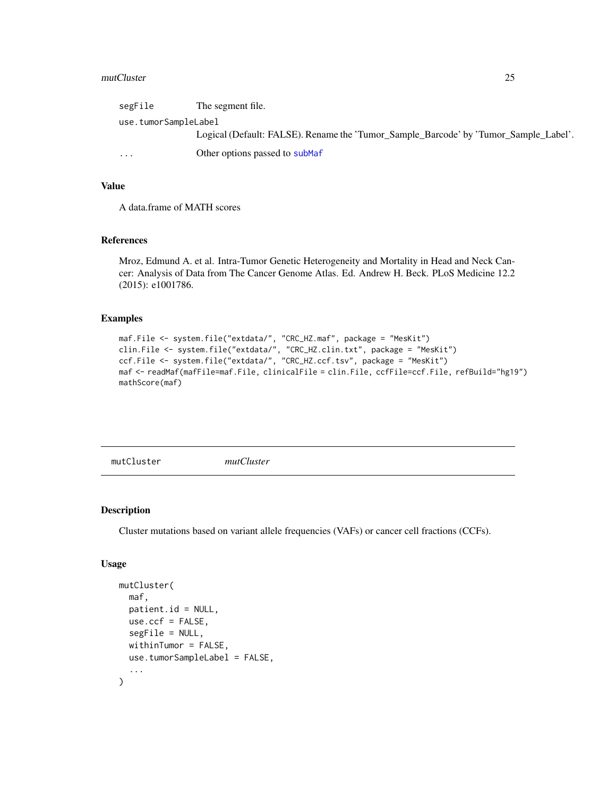#### <span id="page-24-0"></span>mutCluster 25

| segFile                 | The segment file.                                                                    |
|-------------------------|--------------------------------------------------------------------------------------|
| use.tumorSampleLabel    |                                                                                      |
|                         | Logical (Default: FALSE). Rename the 'Tumor_Sample_Barcode' by 'Tumor_Sample_Label'. |
| $\cdot$ $\cdot$ $\cdot$ | Other options passed to subMaf                                                       |

#### Value

A data.frame of MATH scores

# References

Mroz, Edmund A. et al. Intra-Tumor Genetic Heterogeneity and Mortality in Head and Neck Cancer: Analysis of Data from The Cancer Genome Atlas. Ed. Andrew H. Beck. PLoS Medicine 12.2 (2015): e1001786.

#### Examples

```
maf.File <- system.file("extdata/", "CRC_HZ.maf", package = "MesKit")
clin.File <- system.file("extdata/", "CRC_HZ.clin.txt", package = "MesKit")
ccf.File <- system.file("extdata/", "CRC_HZ.ccf.tsv", package = "MesKit")
maf <- readMaf(mafFile=maf.File, clinicalFile = clin.File, ccfFile=ccf.File, refBuild="hg19")
mathScore(maf)
```
mutCluster *mutCluster*

# Description

Cluster mutations based on variant allele frequencies (VAFs) or cancer cell fractions (CCFs).

# Usage

```
mutCluster(
  maf,
 patient.id = NULL,
 use.ccf = FALSE,
  segFile = NULL,
  withinTumor = FALSE,
  use.tumorSampleLabel = FALSE,
  ...
)
```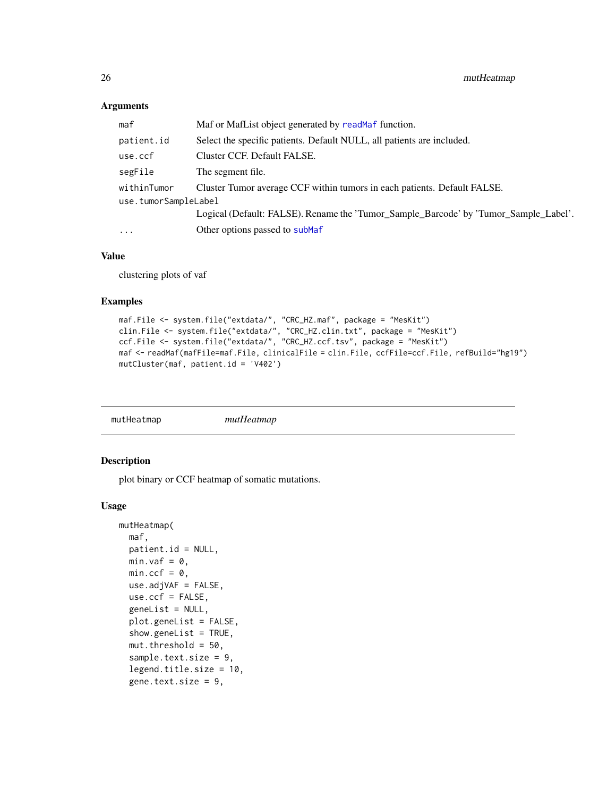# <span id="page-25-0"></span>Arguments

| maf                  | Maf or MafList object generated by readMaf function.                                 |  |
|----------------------|--------------------------------------------------------------------------------------|--|
| patient.id           | Select the specific patients. Default NULL, all patients are included.               |  |
| use.ccf              | Cluster CCF. Default FALSE.                                                          |  |
| segFile              | The segment file.                                                                    |  |
| withinTumor          | Cluster Tumor average CCF within tumors in each patients. Default FALSE.             |  |
| use.tumorSampleLabel |                                                                                      |  |
|                      | Logical (Default: FALSE). Rename the 'Tumor_Sample_Barcode' by 'Tumor_Sample_Label'. |  |
| $\cdots$             | Other options passed to subMaf                                                       |  |
|                      |                                                                                      |  |

# Value

clustering plots of vaf

#### Examples

```
maf.File <- system.file("extdata/", "CRC_HZ.maf", package = "MesKit")
clin.File <- system.file("extdata/", "CRC_HZ.clin.txt", package = "MesKit")
ccf.File <- system.file("extdata/", "CRC_HZ.ccf.tsv", package = "MesKit")
maf <- readMaf(mafFile=maf.File, clinicalFile = clin.File, ccfFile=ccf.File, refBuild="hg19")
mutCluster(maf, patient.id = 'V402')
```
mutHeatmap *mutHeatmap*

#### Description

plot binary or CCF heatmap of somatic mutations.

#### Usage

```
mutHeatmap(
 maf,
 patient.id = NULL,
 min.vaf = 0,
 min.ccf = 0,
 use.adjVAF = FALSE,
  use.ccf = FALSE,
  geneList = NULL,
 plot.geneList = FALSE,
  show.geneList = TRUE,
  mut.threshold = 50.sample.text.size = 9,
  legend.title.size = 10,
  gene.text.size = 9,
```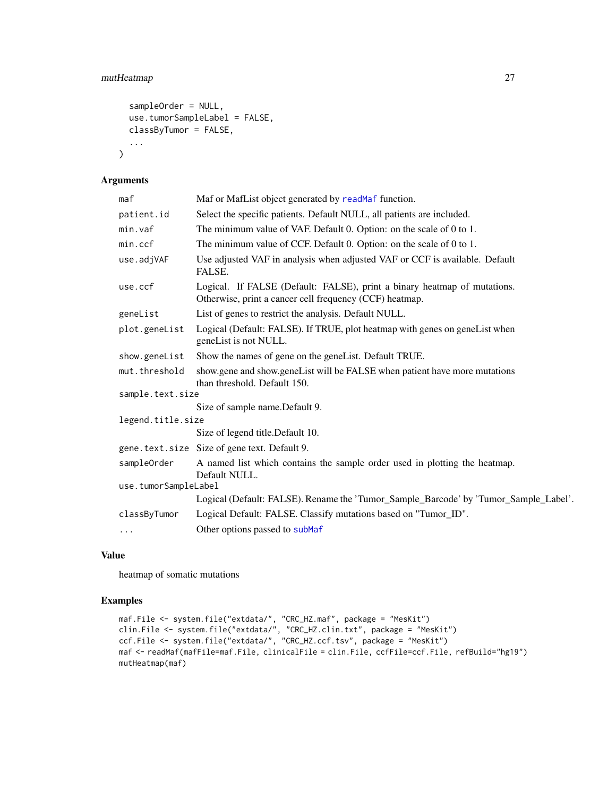# <span id="page-26-0"></span>mutHeatmap 27

```
sampleOrder = NULL,
  use.tumorSampleLabel = FALSE,
 classByTumor = FALSE,
  ...
\mathcal{L}
```
# Arguments

|                                                                                      | maf                                                                                  | Maf or MafList object generated by readMaf function.                                                                                |  |
|--------------------------------------------------------------------------------------|--------------------------------------------------------------------------------------|-------------------------------------------------------------------------------------------------------------------------------------|--|
| Select the specific patients. Default NULL, all patients are included.<br>patient.id |                                                                                      |                                                                                                                                     |  |
|                                                                                      | min.vaf                                                                              | The minimum value of VAF. Default 0. Option: on the scale of 0 to 1.                                                                |  |
|                                                                                      | min.ccf                                                                              | The minimum value of CCF. Default 0. Option: on the scale of 0 to 1.                                                                |  |
|                                                                                      | use.adjVAF                                                                           | Use adjusted VAF in analysis when adjusted VAF or CCF is available. Default<br>FALSE.                                               |  |
|                                                                                      | use.ccf                                                                              | Logical. If FALSE (Default: FALSE), print a binary heatmap of mutations.<br>Otherwise, print a cancer cell frequency (CCF) heatmap. |  |
|                                                                                      | geneList                                                                             | List of genes to restrict the analysis. Default NULL.                                                                               |  |
|                                                                                      | plot.geneList                                                                        | Logical (Default: FALSE). If TRUE, plot heatmap with genes on geneList when<br>geneList is not NULL.                                |  |
|                                                                                      | show.geneList                                                                        | Show the names of gene on the geneList. Default TRUE.                                                                               |  |
|                                                                                      | mut.threshold                                                                        | show.gene and show.geneList will be FALSE when patient have more mutations<br>than threshold. Default 150.                          |  |
|                                                                                      | sample.text.size                                                                     |                                                                                                                                     |  |
|                                                                                      |                                                                                      | Size of sample name.Default 9.                                                                                                      |  |
|                                                                                      | legend.title.size                                                                    |                                                                                                                                     |  |
|                                                                                      |                                                                                      | Size of legend title.Default 10.                                                                                                    |  |
|                                                                                      |                                                                                      | gene.text.size Size of gene text. Default 9.                                                                                        |  |
|                                                                                      | sampleOrder                                                                          | A named list which contains the sample order used in plotting the heatmap.<br>Default NULL.                                         |  |
|                                                                                      | use.tumorSampleLabel                                                                 |                                                                                                                                     |  |
|                                                                                      | Logical (Default: FALSE). Rename the 'Tumor_Sample_Barcode' by 'Tumor_Sample_Label'. |                                                                                                                                     |  |
|                                                                                      | classByTumor                                                                         | Logical Default: FALSE. Classify mutations based on "Tumor_ID".                                                                     |  |
|                                                                                      | $\cdots$                                                                             | Other options passed to subMaf                                                                                                      |  |

# Value

heatmap of somatic mutations

```
maf.File <- system.file("extdata/", "CRC_HZ.maf", package = "MesKit")
clin.File <- system.file("extdata/", "CRC_HZ.clin.txt", package = "MesKit")
ccf.File <- system.file("extdata/", "CRC_HZ.ccf.tsv", package = "MesKit")
maf <- readMaf(mafFile=maf.File, clinicalFile = clin.File, ccfFile=ccf.File, refBuild="hg19")
mutHeatmap(maf)
```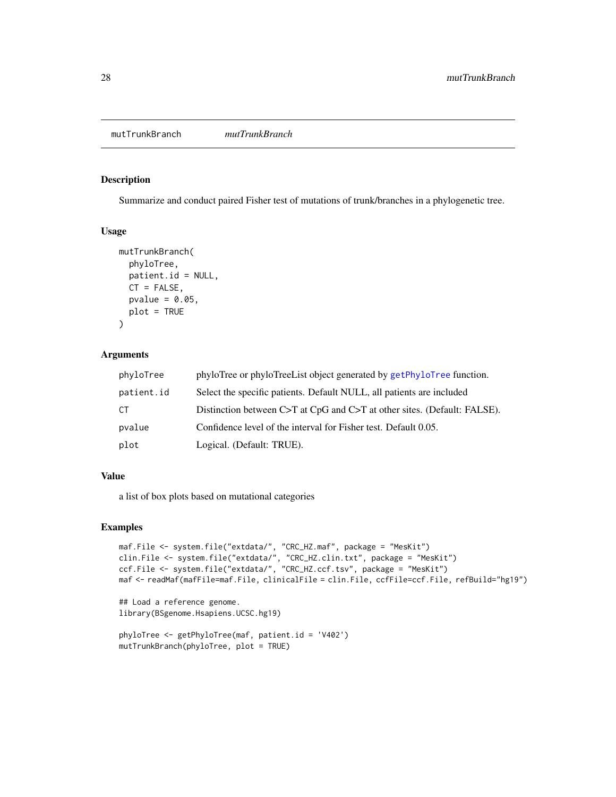<span id="page-27-0"></span>mutTrunkBranch *mutTrunkBranch*

#### Description

Summarize and conduct paired Fisher test of mutations of trunk/branches in a phylogenetic tree.

# Usage

```
mutTrunkBranch(
 phyloTree,
 patient.id = NULL,
 CT = FALSE,pvalue = 0.05,
 plot = TRUE
)
```
# Arguments

| phyloTree  | phyloTree or phyloTreeList object generated by getPhyloTree function.    |
|------------|--------------------------------------------------------------------------|
| patient.id | Select the specific patients. Default NULL, all patients are included    |
| CT.        | Distinction between C>T at CpG and C>T at other sites. (Default: FALSE). |
| pvalue     | Confidence level of the interval for Fisher test. Default 0.05.          |
| plot       | Logical. (Default: TRUE).                                                |

# Value

a list of box plots based on mutational categories

```
maf.File <- system.file("extdata/", "CRC_HZ.maf", package = "MesKit")
clin.File <- system.file("extdata/", "CRC_HZ.clin.txt", package = "MesKit")
ccf.File <- system.file("extdata/", "CRC_HZ.ccf.tsv", package = "MesKit")
maf <- readMaf(mafFile=maf.File, clinicalFile = clin.File, ccfFile=ccf.File, refBuild="hg19")
## Load a reference genome.
library(BSgenome.Hsapiens.UCSC.hg19)
```

```
phyloTree <- getPhyloTree(maf, patient.id = 'V402')
mutTrunkBranch(phyloTree, plot = TRUE)
```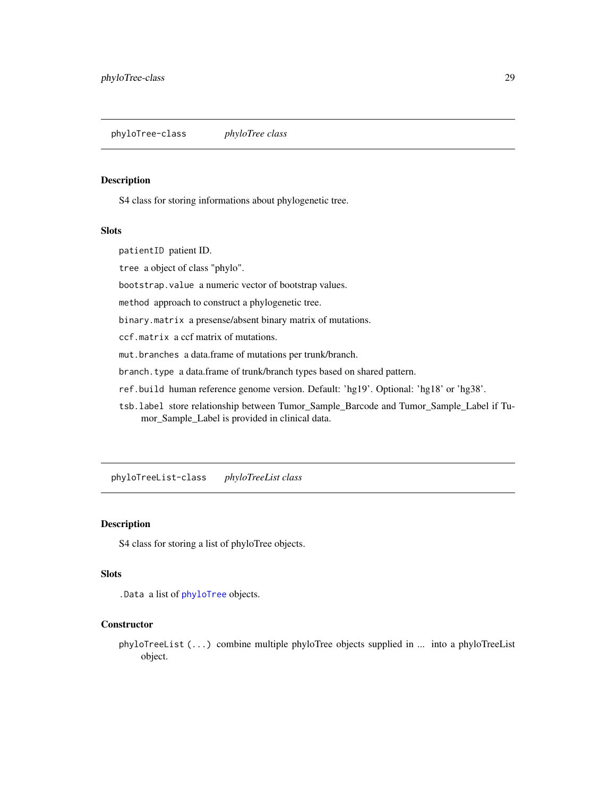<span id="page-28-0"></span>phyloTree-class *phyloTree class*

#### <span id="page-28-1"></span>Description

S4 class for storing informations about phylogenetic tree.

#### Slots

patientID patient ID.

tree a object of class "phylo".

bootstrap.value a numeric vector of bootstrap values.

method approach to construct a phylogenetic tree.

binary.matrix a presense/absent binary matrix of mutations.

ccf.matrix a ccf matrix of mutations.

mut.branches a data.frame of mutations per trunk/branch.

branch.type a data.frame of trunk/branch types based on shared pattern.

ref.build human reference genome version. Default: 'hg19'. Optional: 'hg18' or 'hg38'.

tsb.label store relationship between Tumor\_Sample\_Barcode and Tumor\_Sample\_Label if Tumor\_Sample\_Label is provided in clinical data.

phyloTreeList-class *phyloTreeList class*

#### Description

S4 class for storing a list of phyloTree objects.

#### Slots

.Data a list of [phyloTree](#page-28-1) objects.

# **Constructor**

phyloTreeList (...) combine multiple phyloTree objects supplied in ... into a phyloTreeList object.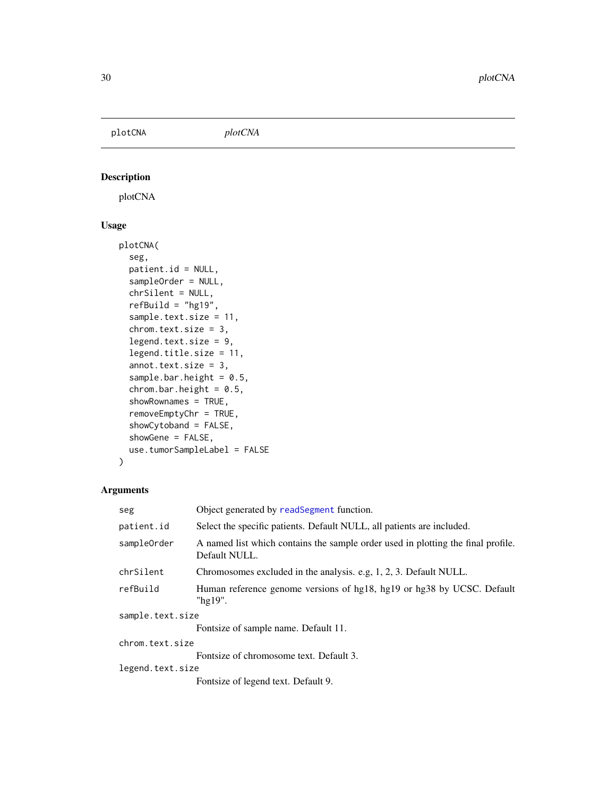<span id="page-29-0"></span>plotCNA *plotCNA*

# Description

plotCNA

# Usage

```
plotCNA(
  seg,
  patient.id = NULL,
  sampleOrder = NULL,
  chrSilent = NULL,
  refBuild = "hg19",sample.text.size = 11,
  chrom.text.size = 3,
  legend.text.size = 9,
  legend.title.size = 11,
  annot.text.size = 3,
  sample.bar.height = 0.5,
  chrom. bar. height = 0.5,
  showRownames = TRUE,
  removeEmptyChr = TRUE,
  showCytoband = FALSE,
  showGene = FALSE,
  use.tumorSampleLabel = FALSE
)
```
# Arguments

| seg              | Object generated by readSegment function.                                                         |
|------------------|---------------------------------------------------------------------------------------------------|
| patient.id       | Select the specific patients. Default NULL, all patients are included.                            |
| sampleOrder      | A named list which contains the sample order used in plotting the final profile.<br>Default NULL. |
| chrSilent        | Chromosomes excluded in the analysis. e.g. 1, 2, 3. Default NULL.                                 |
| refBuild         | Human reference genome versions of hg18, hg19 or hg38 by UCSC. Default<br>"hg19".                 |
| sample.text.size |                                                                                                   |
|                  | Fontsize of sample name. Default 11.                                                              |
| chrom.text.size  |                                                                                                   |
|                  | Fontsize of chromosome text. Default 3.                                                           |
| legend.text.size |                                                                                                   |
|                  | Fontsize of legend text. Default 9.                                                               |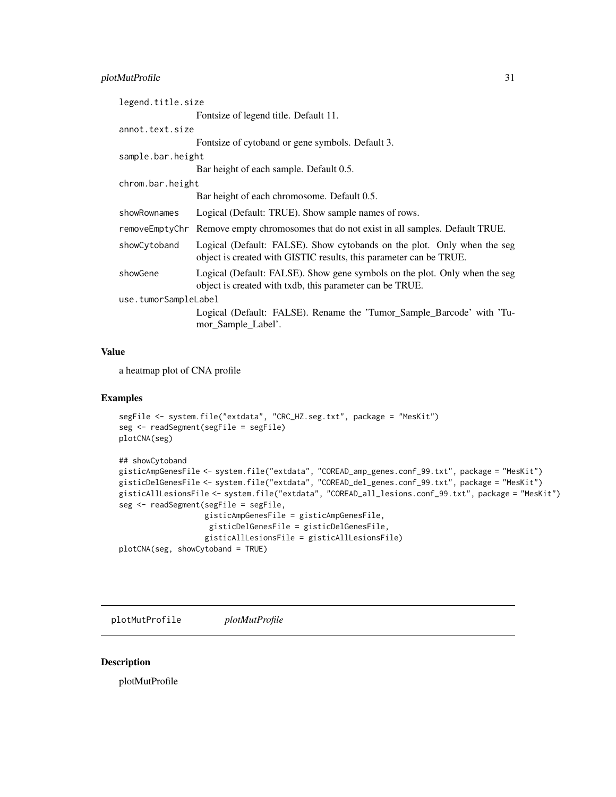# <span id="page-30-0"></span>plotMutProfile 31

| legend.title.size    |                                                                                                                                               |
|----------------------|-----------------------------------------------------------------------------------------------------------------------------------------------|
|                      | Fontsize of legend title. Default 11.                                                                                                         |
| annot.text.size      |                                                                                                                                               |
|                      | Fontsize of cytoband or gene symbols. Default 3.                                                                                              |
| sample.bar.height    |                                                                                                                                               |
|                      | Bar height of each sample. Default 0.5.                                                                                                       |
| chrom.bar.height     |                                                                                                                                               |
|                      | Bar height of each chromosome. Default 0.5.                                                                                                   |
| showRownames         | Logical (Default: TRUE). Show sample names of rows.                                                                                           |
|                      | removeEmptyChr Remove empty chromosomes that do not exist in all samples. Default TRUE.                                                       |
| showCytoband         | Logical (Default: FALSE). Show cytobands on the plot. Only when the seg<br>object is created with GISTIC results, this parameter can be TRUE. |
| showGene             | Logical (Default: FALSE). Show gene symbols on the plot. Only when the seg<br>object is created with txdb, this parameter can be TRUE.        |
| use.tumorSampleLabel |                                                                                                                                               |
|                      | Logical (Default: FALSE). Rename the 'Tumor_Sample_Barcode' with 'Tu-<br>mor_Sample_Label'.                                                   |

# Value

a heatmap plot of CNA profile

# Examples

```
segFile <- system.file("extdata", "CRC_HZ.seg.txt", package = "MesKit")
seg <- readSegment(segFile = segFile)
plotCNA(seg)
## showCytoband
gisticAmpGenesFile <- system.file("extdata", "COREAD_amp_genes.conf_99.txt", package = "MesKit")
gisticDelGenesFile <- system.file("extdata", "COREAD_del_genes.conf_99.txt", package = "MesKit")
gisticAllLesionsFile <- system.file("extdata", "COREAD_all_lesions.conf_99.txt", package = "MesKit")
seg <- readSegment(segFile = segFile,
                   gisticAmpGenesFile = gisticAmpGenesFile,
                    gisticDelGenesFile = gisticDelGenesFile,
                   gisticAllLesionsFile = gisticAllLesionsFile)
plotCNA(seg, showCytoband = TRUE)
```
plotMutProfile *plotMutProfile*

# Description

plotMutProfile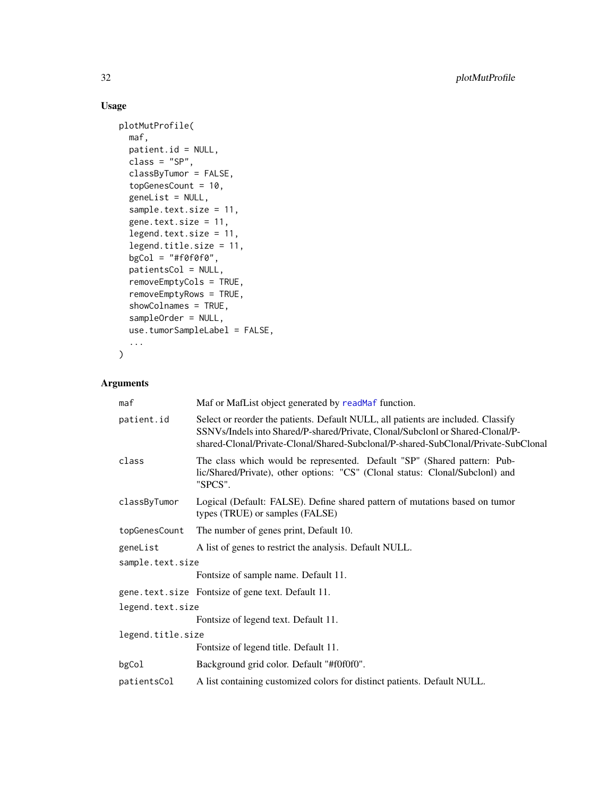# Usage

```
plotMutProfile(
 maf,
 patient.id = NULL,
 class = "SP",classByTumor = FALSE,
  topGenesCount = 10,
  geneList = NULL,
  sample.text.size = 11,
  gene.text.size = 11,
  legend.text.size = 11,
  legend.title.size = 11,
  bgCol = "#f@f@f@",patientsCol = NULL,
  removeEmptyCols = TRUE,
  removeEmptyRows = TRUE,
  showColnames = TRUE,
  sampleOrder = NULL,
  use.tumorSampleLabel = FALSE,
  ...
\mathcal{L}
```
# Arguments

| maf               | Maf or MafList object generated by readMaf function.                                                                                                                                                                                                      |  |
|-------------------|-----------------------------------------------------------------------------------------------------------------------------------------------------------------------------------------------------------------------------------------------------------|--|
| patient.id        | Select or reorder the patients. Default NULL, all patients are included. Classify<br>SSNVs/Indels into Shared/P-shared/Private, Clonal/Subclonl or Shared-Clonal/P-<br>shared-Clonal/Private-Clonal/Shared-Subclonal/P-shared-SubClonal/Private-SubClonal |  |
| class             | The class which would be represented. Default "SP" (Shared pattern: Pub-<br>lic/Shared/Private), other options: "CS" (Clonal status: Clonal/Subclonl) and<br>"SPCS".                                                                                      |  |
| classByTumor      | Logical (Default: FALSE). Define shared pattern of mutations based on tumor<br>types (TRUE) or samples (FALSE)                                                                                                                                            |  |
| topGenesCount     | The number of genes print, Default 10.                                                                                                                                                                                                                    |  |
| geneList          | A list of genes to restrict the analysis. Default NULL.                                                                                                                                                                                                   |  |
| sample.text.size  |                                                                                                                                                                                                                                                           |  |
|                   | Fontsize of sample name. Default 11.                                                                                                                                                                                                                      |  |
|                   | gene.text.size Fontsize of gene text. Default 11.                                                                                                                                                                                                         |  |
| legend.text.size  |                                                                                                                                                                                                                                                           |  |
|                   | Fontsize of legend text. Default 11.                                                                                                                                                                                                                      |  |
| legend.title.size |                                                                                                                                                                                                                                                           |  |
|                   | Fontsize of legend title. Default 11.                                                                                                                                                                                                                     |  |
| bgCol             | Background grid color. Default "#f0f0f0".                                                                                                                                                                                                                 |  |
| patientsCol       | A list containing customized colors for distinct patients. Default NULL.                                                                                                                                                                                  |  |

<span id="page-31-0"></span>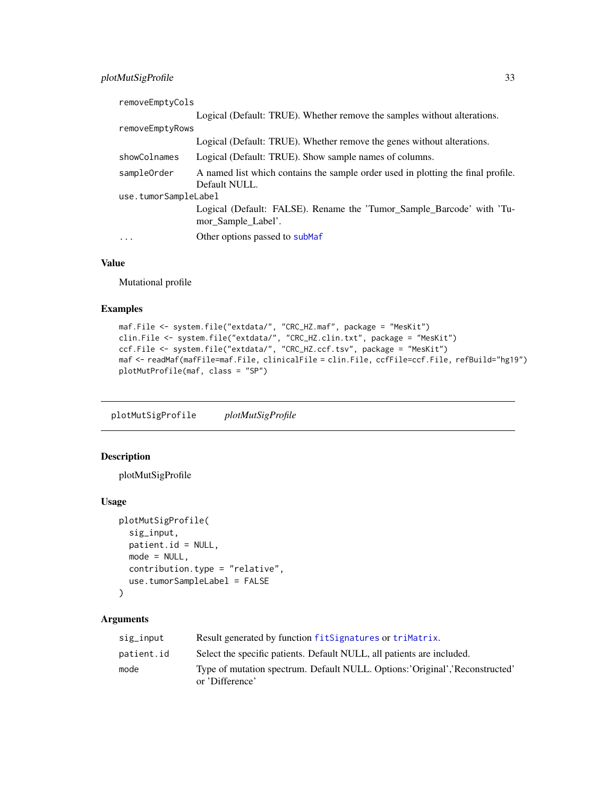# <span id="page-32-0"></span>plotMutSigProfile 33

| removeEmptyCols      |                                                                                                   |
|----------------------|---------------------------------------------------------------------------------------------------|
|                      | Logical (Default: TRUE). Whether remove the samples without alterations.                          |
| removeEmptyRows      |                                                                                                   |
|                      | Logical (Default: TRUE). Whether remove the genes without alterations.                            |
| showColnames         | Logical (Default: TRUE). Show sample names of columns.                                            |
| sampleOrder          | A named list which contains the sample order used in plotting the final profile.<br>Default NULL. |
| use.tumorSampleLabel |                                                                                                   |
|                      | Logical (Default: FALSE). Rename the 'Tumor_Sample_Barcode' with 'Tu-<br>mor_Sample_Label'.       |
| .                    | Other options passed to subMaf                                                                    |
|                      |                                                                                                   |

#### Value

Mutational profile

#### Examples

```
maf.File <- system.file("extdata/", "CRC_HZ.maf", package = "MesKit")
clin.File <- system.file("extdata/", "CRC_HZ.clin.txt", package = "MesKit")
ccf.File <- system.file("extdata/", "CRC_HZ.ccf.tsv", package = "MesKit")
maf <- readMaf(mafFile=maf.File, clinicalFile = clin.File, ccfFile=ccf.File, refBuild="hg19")
plotMutProfile(maf, class = "SP")
```
plotMutSigProfile *plotMutSigProfile*

# Description

plotMutSigProfile

#### Usage

```
plotMutSigProfile(
  sig_input,
 patient.id = NULL,
 mode = NULL,
  contribution.type = "relative",
 use.tumorSampleLabel = FALSE
\mathcal{L}
```
# Arguments

| sig_input  | Result generated by function fitSignatures or triMatrix.                                         |
|------------|--------------------------------------------------------------------------------------------------|
| patient.id | Select the specific patients. Default NULL, all patients are included.                           |
| mode       | Type of mutation spectrum. Default NULL. Options: 'Original', 'Reconstructed'<br>or 'Difference' |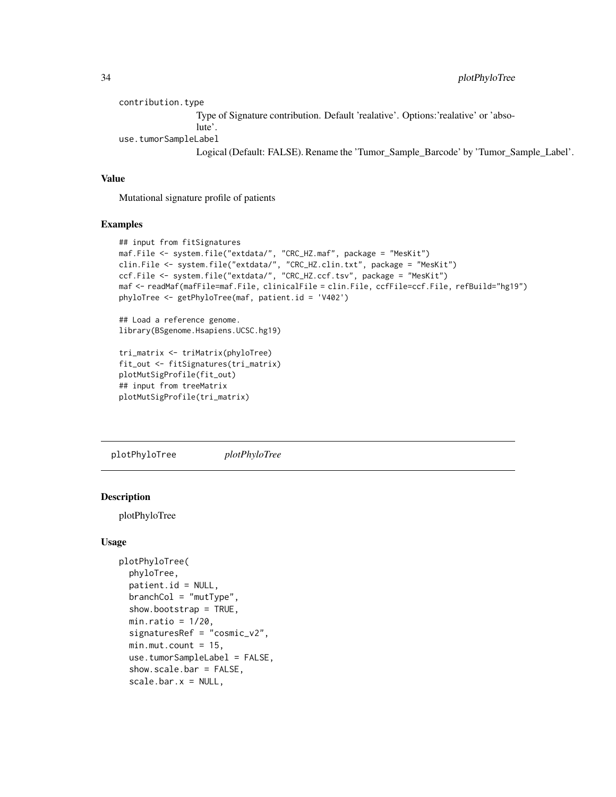```
contribution.type
                 Type of Signature contribution. Default 'realative'. Options:'realative' or 'abso-
                 lute'.
use.tumorSampleLabel
                 Logical (Default: FALSE). Rename the 'Tumor_Sample_Barcode' by 'Tumor_Sample_Label'.
```
#### Value

Mutational signature profile of patients

#### Examples

```
## input from fitSignatures
maf.File <- system.file("extdata/", "CRC_HZ.maf", package = "MesKit")
clin.File <- system.file("extdata/", "CRC_HZ.clin.txt", package = "MesKit")
ccf.File <- system.file("extdata/", "CRC_HZ.ccf.tsv", package = "MesKit")
maf <- readMaf(mafFile=maf.File, clinicalFile = clin.File, ccfFile=ccf.File, refBuild="hg19")
phyloTree <- getPhyloTree(maf, patient.id = 'V402')
```
## Load a reference genome. library(BSgenome.Hsapiens.UCSC.hg19)

```
tri_matrix <- triMatrix(phyloTree)
fit_out <- fitSignatures(tri_matrix)
plotMutSigProfile(fit_out)
## input from treeMatrix
plotMutSigProfile(tri_matrix)
```
plotPhyloTree *plotPhyloTree*

# Description

plotPhyloTree

#### Usage

```
plotPhyloTree(
  phyloTree,
  patient.id = NULL,
  branchCol = "mutType",
  show.bootstrap = TRUE,
  min.ratio = 1/20,
  signaturesRef = "cosmic_v2",
  min.mut.count = 15,
  use.tumorSampleLabel = FALSE,
  show.scale.bar = FALSE,
  scale.bar.x = NULL,
```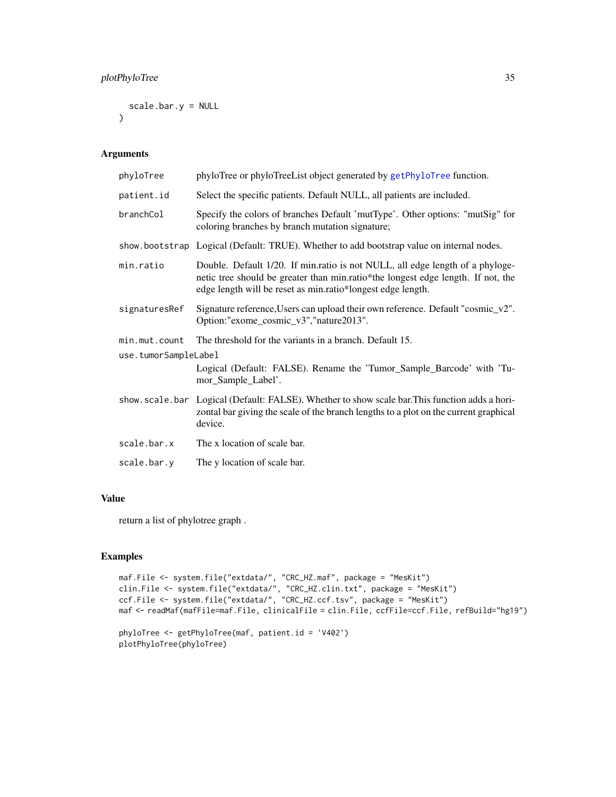```
scale.bar.y = NULL
\mathcal{L}
```
# Arguments

| phyloTree<br>phyloTree or phyloTreeList object generated by getPhyloTree function.                                                                                                                                               |  |
|----------------------------------------------------------------------------------------------------------------------------------------------------------------------------------------------------------------------------------|--|
| Select the specific patients. Default NULL, all patients are included.<br>patient.id                                                                                                                                             |  |
| Specify the colors of branches Default 'mutType'. Other options: "mutSig" for<br>coloring branches by branch mutation signature;                                                                                                 |  |
| show.bootstrap Logical (Default: TRUE). Whether to add bootstrap value on internal nodes.                                                                                                                                        |  |
| Double. Default 1/20. If min.ratio is not NULL, all edge length of a phyloge-<br>netic tree should be greater than min.ratio*the longest edge length. If not, the<br>edge length will be reset as min.ratio*longest edge length. |  |
| Signature reference, Users can upload their own reference. Default "cosmic_v2".<br>Option:"exome_cosmic_v3","nature2013".                                                                                                        |  |
| The threshold for the variants in a branch. Default 15.                                                                                                                                                                          |  |
| use.tumorSampleLabel                                                                                                                                                                                                             |  |
| Logical (Default: FALSE). Rename the 'Tumor_Sample_Barcode' with 'Tu-<br>mor_Sample_Label'.                                                                                                                                      |  |
| show. scale. bar Logical (Default: FALSE). Whether to show scale bar. This function adds a hori-<br>zontal bar giving the scale of the branch lengths to a plot on the current graphical<br>device.                              |  |
| The x location of scale bar.                                                                                                                                                                                                     |  |
| The y location of scale bar.                                                                                                                                                                                                     |  |
|                                                                                                                                                                                                                                  |  |

# Value

return a list of phylotree graph .

```
maf.File <- system.file("extdata/", "CRC_HZ.maf", package = "MesKit")
clin.File <- system.file("extdata/", "CRC_HZ.clin.txt", package = "MesKit")
ccf.File <- system.file("extdata/", "CRC_HZ.ccf.tsv", package = "MesKit")
maf <- readMaf(mafFile=maf.File, clinicalFile = clin.File, ccfFile=ccf.File, refBuild="hg19")
```

```
phyloTree <- getPhyloTree(maf, patient.id = 'V402')
plotPhyloTree(phyloTree)
```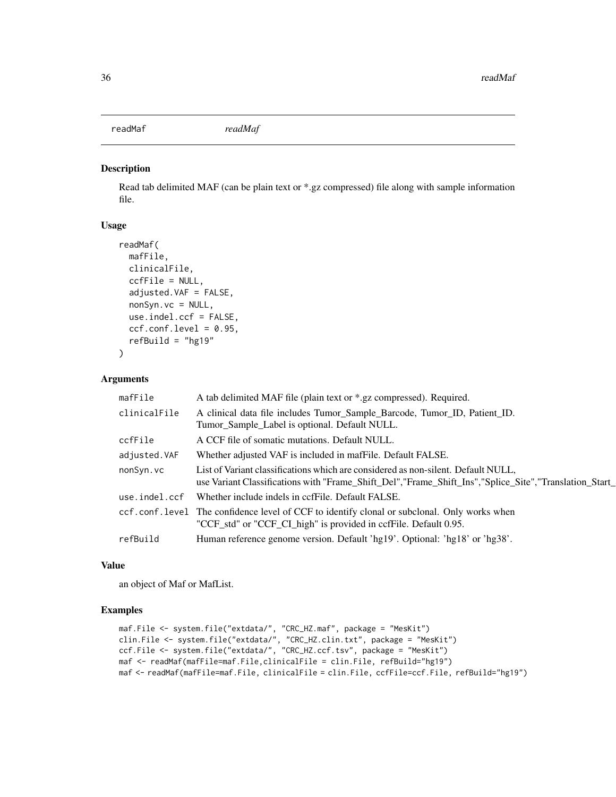<span id="page-35-1"></span><span id="page-35-0"></span>readMaf *readMaf*

#### Description

Read tab delimited MAF (can be plain text or \*.gz compressed) file along with sample information file.

#### Usage

```
readMaf(
 mafFile,
  clinicalFile,
  ccfFile = NULL,
  adjusted.VAF = FALSE,
  nonSyn.vc = NULL,
  use.indel.ccf = FALSE,
  ccf.comf.level = 0.95,
  refBuild = "hg19")
```
#### Arguments

| mafFile       | A tab delimited MAF file (plain text or *.gz compressed). Required.                                                                                                                            |
|---------------|------------------------------------------------------------------------------------------------------------------------------------------------------------------------------------------------|
| clinicalFile  | A clinical data file includes Tumor_Sample_Barcode, Tumor_ID, Patient_ID.<br>Tumor_Sample_Label is optional. Default NULL.                                                                     |
| ccfFile       | A CCF file of somatic mutations. Default NULL.                                                                                                                                                 |
| adjusted. VAF | Whether adjusted VAF is included in mafFile. Default FALSE.                                                                                                                                    |
| nonSyn.vc     | List of Variant classifications which are considered as non-silent. Default NULL,<br>use Variant Classifications with "Frame_Shift_Del", "Frame_Shift_Ins", "Splice_Site", "Translation_Start_ |
| use.indel.ccf | Whether include indels in ccfFile. Default FALSE.                                                                                                                                              |
|               | ccf.conf.level The confidence level of CCF to identify clonal or subclonal. Only works when<br>"CCF_std" or "CCF_CI_high" is provided in ccfFile. Default 0.95.                                |
| refBuild      | Human reference genome version. Default 'hg19'. Optional: 'hg18' or 'hg38'.                                                                                                                    |

# Value

an object of Maf or MafList.

```
maf.File <- system.file("extdata/", "CRC_HZ.maf", package = "MesKit")
clin.File <- system.file("extdata/", "CRC_HZ.clin.txt", package = "MesKit")
ccf.File <- system.file("extdata/", "CRC_HZ.ccf.tsv", package = "MesKit")
maf <- readMaf(mafFile=maf.File,clinicalFile = clin.File, refBuild="hg19")
maf <- readMaf(mafFile=maf.File, clinicalFile = clin.File, ccfFile=ccf.File, refBuild="hg19")
```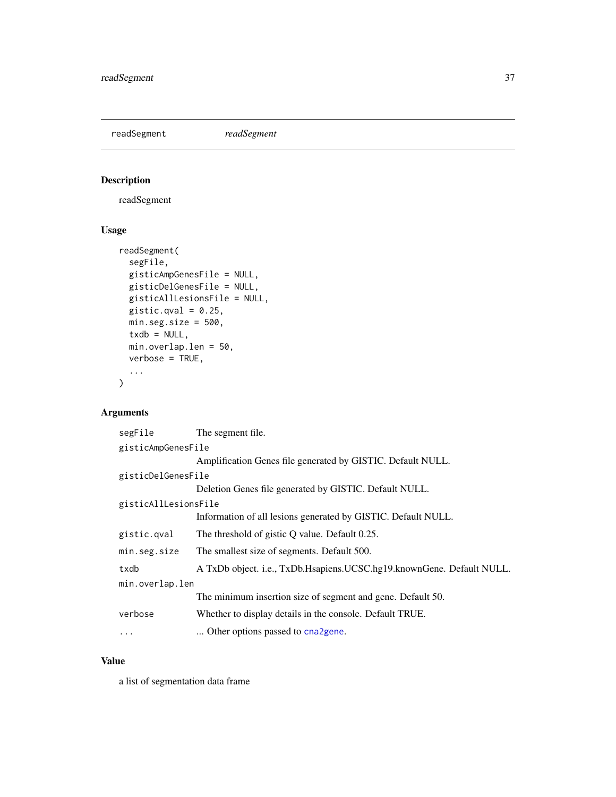<span id="page-36-1"></span><span id="page-36-0"></span>readSegment *readSegment*

# Description

readSegment

# Usage

```
readSegment(
 segFile,
 gisticAmpGenesFile = NULL,
 gisticDelGenesFile = NULL,
 gisticAllLesionsFile = NULL,
 gistic.qval = 0.25,
 min.seg.size = 500,
  txdb = NULL,min.overlap.len = 50,
 verbose = TRUE,
  ...
)
```
# Arguments

| segFile              | The segment file.                                                     |  |  |
|----------------------|-----------------------------------------------------------------------|--|--|
| gisticAmpGenesFile   |                                                                       |  |  |
|                      | Amplification Genes file generated by GISTIC. Default NULL.           |  |  |
| gisticDelGenesFile   |                                                                       |  |  |
|                      | Deletion Genes file generated by GISTIC. Default NULL.                |  |  |
| gisticAllLesionsFile |                                                                       |  |  |
|                      | Information of all lesions generated by GISTIC. Default NULL.         |  |  |
| gistic.qval          | The threshold of gistic Q value. Default 0.25.                        |  |  |
| min.seg.size         | The smallest size of segments. Default 500.                           |  |  |
| txdb                 | A TxDb object. i.e., TxDb.Hsapiens.UCSC.hg19.knownGene. Default NULL. |  |  |
| min.overlap.len      |                                                                       |  |  |
|                      | The minimum insertion size of segment and gene. Default 50.           |  |  |
| verbose              | Whether to display details in the console. Default TRUE.              |  |  |
| $\ddotsc$            | Other options passed to cna2gene.                                     |  |  |
|                      |                                                                       |  |  |

# Value

a list of segmentation data frame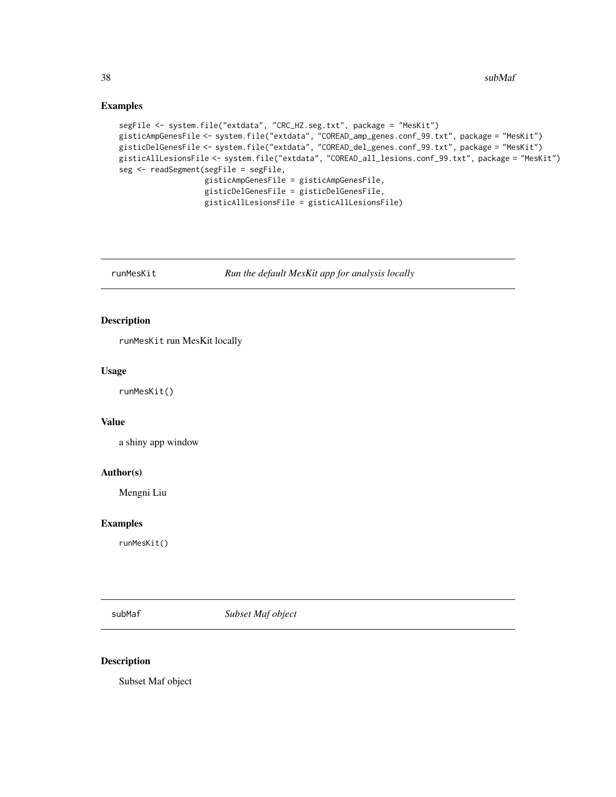<span id="page-37-0"></span>38 subMathematic state of the state of the state of the state of the state of the state of the state of the state of the state of the state of the state of the state of the state of the state of the state of the state of t

#### Examples

```
segFile <- system.file("extdata", "CRC_HZ.seg.txt", package = "MesKit")
gisticAmpGenesFile <- system.file("extdata", "COREAD_amp_genes.conf_99.txt", package = "MesKit")
gisticDelGenesFile <- system.file("extdata", "COREAD_del_genes.conf_99.txt", package = "MesKit")
gisticAllLesionsFile <- system.file("extdata", "COREAD_all_lesions.conf_99.txt", package = "MesKit")
seg <- readSegment(segFile = segFile,
                   gisticAmpGenesFile = gisticAmpGenesFile,
                   gisticDelGenesFile = gisticDelGenesFile,
                   gisticAllLesionsFile = gisticAllLesionsFile)
```
runMesKit *Run the default MesKit app for analysis locally*

# Description

runMesKit run MesKit locally

# Usage

runMesKit()

#### Value

a shiny app window

#### Author(s)

Mengni Liu

#### Examples

runMesKit()

<span id="page-37-1"></span>subMaf *Subset Maf object*

#### Description

Subset Maf object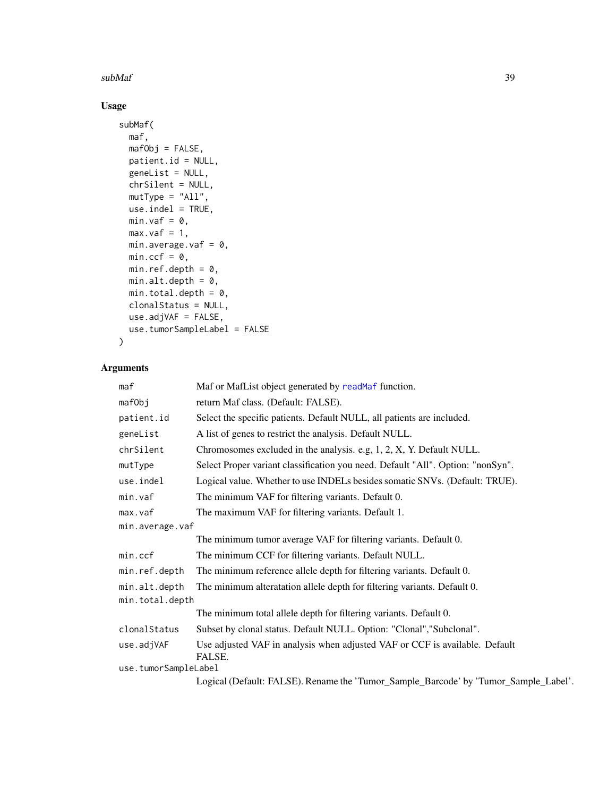#### <span id="page-38-0"></span> $subMaf$  39

# Usage

```
subMaf(
 maf,
 mafObj = FALSE,
 patient.id = NULL,
 geneList = NULL,
 chrSilent = NULL,
 mutType = "All",
 use.indel = TRUE,
 min.vaf = 0,
 max.vaf = 1,
 min.average.vaf = 0,
 min.ccf = 0,
 min.ref.depth = 0,
 min. alt. depth = 0,min.total.depth = 0,
 clonalStatus = NULL,
 use.adjVAF = FALSE,
 use.tumorSampleLabel = FALSE
\mathcal{L}
```
# Arguments

| maf                  | Maf or MafList object generated by readMaf function.                                  |  |
|----------------------|---------------------------------------------------------------------------------------|--|
| mafObj               | return Maf class. (Default: FALSE).                                                   |  |
|                      |                                                                                       |  |
| patient.id           | Select the specific patients. Default NULL, all patients are included.                |  |
| geneList             | A list of genes to restrict the analysis. Default NULL.                               |  |
| chrSilent            | Chromosomes excluded in the analysis. e.g. 1, 2, X, Y. Default NULL.                  |  |
| mutType              | Select Proper variant classification you need. Default "All". Option: "nonSyn".       |  |
| use.indel            | Logical value. Whether to use INDELs besides somatic SNVs. (Default: TRUE).           |  |
| min.vaf              | The minimum VAF for filtering variants. Default 0.                                    |  |
| max.vaf              | The maximum VAF for filtering variants. Default 1.                                    |  |
| min.average.vaf      |                                                                                       |  |
|                      | The minimum tumor average VAF for filtering variants. Default 0.                      |  |
| min.ccf              | The minimum CCF for filtering variants. Default NULL.                                 |  |
| min.ref.depth        | The minimum reference allele depth for filtering variants. Default 0.                 |  |
| min.alt.depth        | The minimum alteratation allele depth for filtering variants. Default 0.              |  |
| min.total.depth      |                                                                                       |  |
|                      | The minimum total allele depth for filtering variants. Default 0.                     |  |
| clonalStatus         | Subset by clonal status. Default NULL. Option: "Clonal", "Subclonal".                 |  |
| use.adjVAF           | Use adjusted VAF in analysis when adjusted VAF or CCF is available. Default<br>FALSE. |  |
| use.tumorSampleLabel |                                                                                       |  |
|                      | Logical (Default EALCE) Denomo the Tumor, Cample, Dereode, by Tumor, Cample, Lohe     |  |

Logical (Default: FALSE). Rename the 'Tumor\_Sample\_Barcode' by 'Tumor\_Sample\_Label'.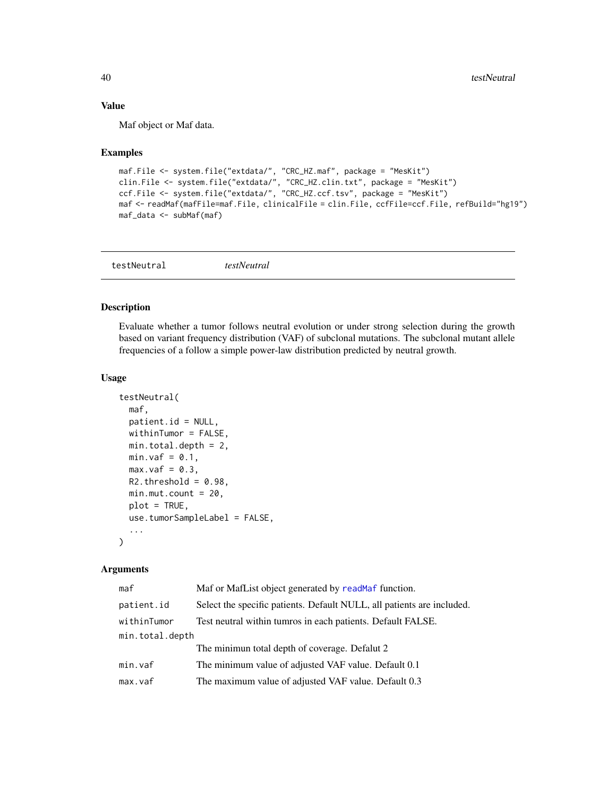# Value

Maf object or Maf data.

#### Examples

```
maf.File <- system.file("extdata/", "CRC_HZ.maf", package = "MesKit")
clin.File <- system.file("extdata/", "CRC_HZ.clin.txt", package = "MesKit")
ccf.File <- system.file("extdata/", "CRC_HZ.ccf.tsv", package = "MesKit")
maf <- readMaf(mafFile=maf.File, clinicalFile = clin.File, ccfFile=ccf.File, refBuild="hg19")
maf_data <- subMaf(maf)
```

| testNeutral | testNeutral |  |
|-------------|-------------|--|
|             |             |  |

# Description

Evaluate whether a tumor follows neutral evolution or under strong selection during the growth based on variant frequency distribution (VAF) of subclonal mutations. The subclonal mutant allele frequencies of a follow a simple power-law distribution predicted by neutral growth.

#### Usage

```
testNeutral(
 maf,
 patient.id = NULL,
 widthinTurnor = FALSE,
 min.total.depth = 2,
 min.vaf = 0.1,
 max.vaf = 0.3,
 R2.threshold = 0.98,
 min.mut.count = 20,plot = TRUE,
 use.tumorSampleLabel = FALSE,
  ...
)
```
# Arguments

| maf             | Maf or MafList object generated by readMaf function.                   |  |
|-----------------|------------------------------------------------------------------------|--|
| patient.id      | Select the specific patients. Default NULL, all patients are included. |  |
| withinTumor     | Test neutral within tumros in each patients. Default FALSE.            |  |
| min.total.depth |                                                                        |  |
|                 | The minimun total depth of coverage. Defalut 2                         |  |
| min.vaf         | The minimum value of adjusted VAF value. Default 0.1                   |  |
| max.vaf         | The maximum value of adjusted VAF value. Default 0.3                   |  |

<span id="page-39-0"></span>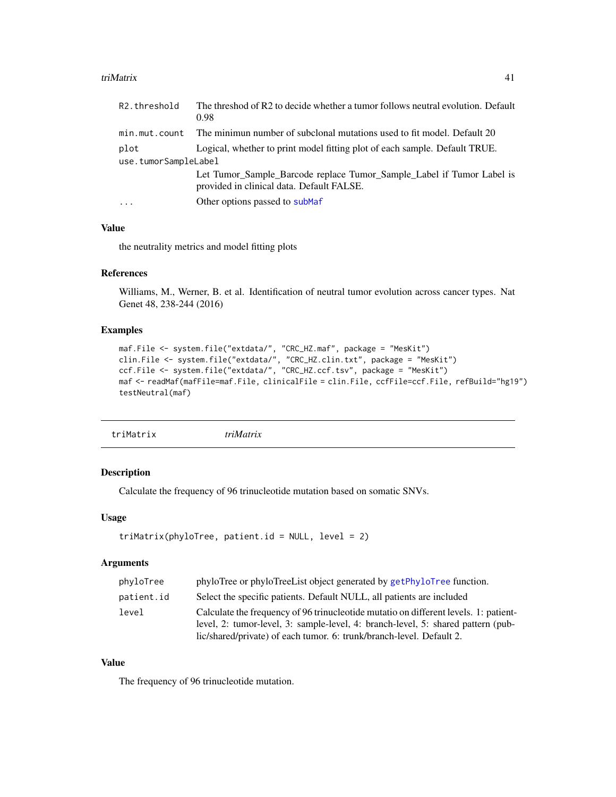#### <span id="page-40-0"></span>triMatrix 41

| R <sub>2</sub> .threshold | The threshod of R2 to decide whether a tumor follows neutral evolution. Default<br>0.98                            |
|---------------------------|--------------------------------------------------------------------------------------------------------------------|
| min.mut.count             | The minimun number of subclonal mutations used to fit model. Default 20                                            |
| plot                      | Logical, whether to print model fitting plot of each sample. Default TRUE.                                         |
| use.tumorSampleLabel      |                                                                                                                    |
|                           | Let Tumor_Sample_Barcode replace Tumor_Sample_Label if Tumor Label is<br>provided in clinical data. Default FALSE. |
| $\ddotsc$                 | Other options passed to subMaf                                                                                     |

# Value

the neutrality metrics and model fitting plots

# References

Williams, M., Werner, B. et al. Identification of neutral tumor evolution across cancer types. Nat Genet 48, 238-244 (2016)

# Examples

```
maf.File <- system.file("extdata/", "CRC_HZ.maf", package = "MesKit")
clin.File <- system.file("extdata/", "CRC_HZ.clin.txt", package = "MesKit")
ccf.File <- system.file("extdata/", "CRC_HZ.ccf.tsv", package = "MesKit")
maf <- readMaf(mafFile=maf.File, clinicalFile = clin.File, ccfFile=ccf.File, refBuild="hg19")
testNeutral(maf)
```
<span id="page-40-1"></span>

# Description

Calculate the frequency of 96 trinucleotide mutation based on somatic SNVs.

#### Usage

```
triMatrix(phyloTree, patient.id = NULL, level = 2)
```
#### Arguments

| phyloTree  | phyloTree or phyloTreeList object generated by getPhyloTree function.                                                                                                    |
|------------|--------------------------------------------------------------------------------------------------------------------------------------------------------------------------|
| patient.id | Select the specific patients. Default NULL, all patients are included                                                                                                    |
| level      | Calculate the frequency of 96 trinucleotide mutatio on different levels. 1: patient-<br>level, 2: tumor-level, 3: sample-level, 4: branch-level, 5: shared pattern (pub- |
|            | lic/shared/private) of each tumor. 6: trunk/branch-level. Default 2.                                                                                                     |

# Value

The frequency of 96 trinucleotide mutation.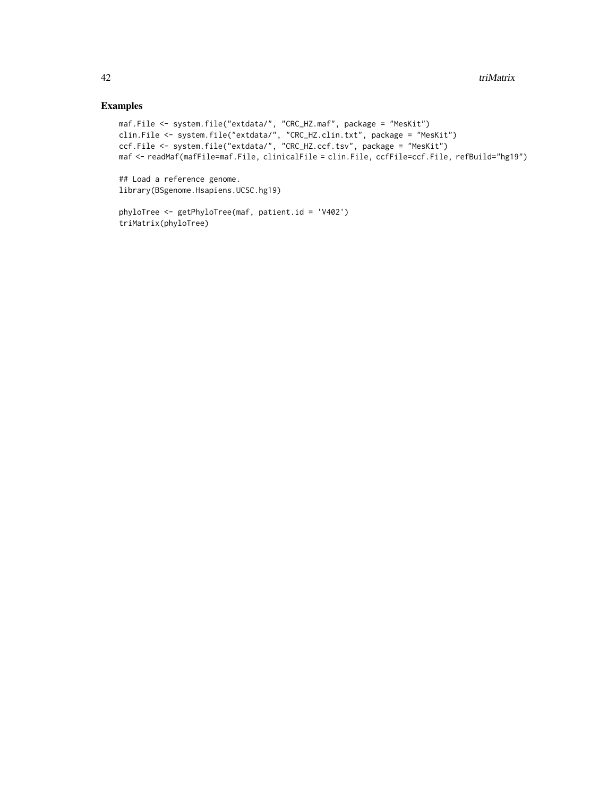# Examples

```
maf.File <- system.file("extdata/", "CRC_HZ.maf", package = "MesKit")
clin.File <- system.file("extdata/", "CRC_HZ.clin.txt", package = "MesKit")
ccf.File <- system.file("extdata/", "CRC_HZ.ccf.tsv", package = "MesKit")
maf <- readMaf(mafFile=maf.File, clinicalFile = clin.File, ccfFile=ccf.File, refBuild="hg19")
```
## Load a reference genome. library(BSgenome.Hsapiens.UCSC.hg19)

```
phyloTree <- getPhyloTree(maf, patient.id = 'V402')
triMatrix(phyloTree)
```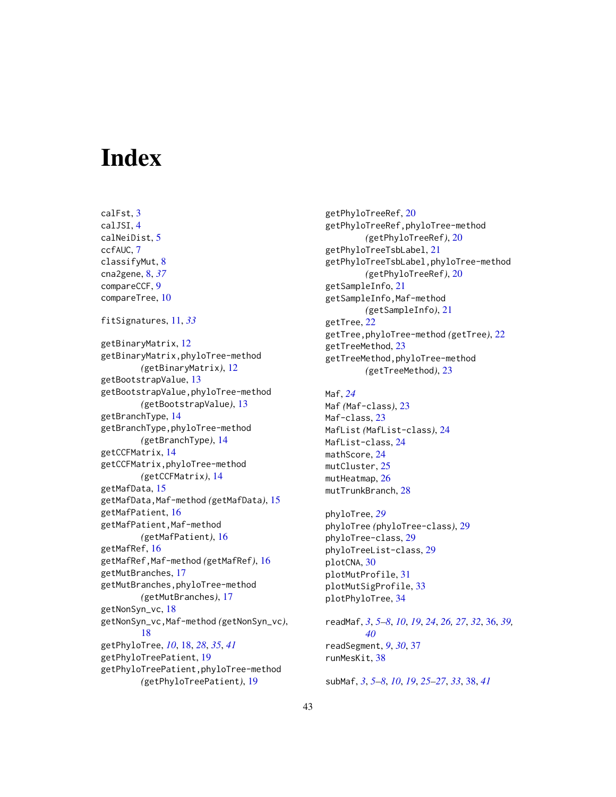# <span id="page-42-0"></span>**Index**

calFst, [3](#page-2-0) calJSI, [4](#page-3-0) calNeiDist, [5](#page-4-0) ccfAUC, [7](#page-6-0) classifyMut, [8](#page-7-0) cna2gene, [8,](#page-7-0) *[37](#page-36-0)* compareCCF, [9](#page-8-0) compareTree, [10](#page-9-0) fitSignatures, [11,](#page-10-0) *[33](#page-32-0)* getBinaryMatrix, [12](#page-11-0) getBinaryMatrix,phyloTree-method *(*getBinaryMatrix*)*, [12](#page-11-0) getBootstrapValue, [13](#page-12-0) getBootstrapValue,phyloTree-method *(*getBootstrapValue*)*, [13](#page-12-0) getBranchType, [14](#page-13-0) getBranchType,phyloTree-method *(*getBranchType*)*, [14](#page-13-0) getCCFMatrix, [14](#page-13-0) getCCFMatrix,phyloTree-method *(*getCCFMatrix*)*, [14](#page-13-0) getMafData, [15](#page-14-0) getMafData,Maf-method *(*getMafData*)*, [15](#page-14-0) getMafPatient, [16](#page-15-0) getMafPatient,Maf-method *(*getMafPatient*)*, [16](#page-15-0) getMafRef, [16](#page-15-0) getMafRef,Maf-method *(*getMafRef*)*, [16](#page-15-0) getMutBranches, [17](#page-16-0) getMutBranches,phyloTree-method *(*getMutBranches*)*, [17](#page-16-0) getNonSyn\_vc, [18](#page-17-0) getNonSyn\_vc,Maf-method *(*getNonSyn\_vc*)*, [18](#page-17-0) getPhyloTree, *[10](#page-9-0)*, [18,](#page-17-0) *[28](#page-27-0)*, *[35](#page-34-0)*, *[41](#page-40-0)* getPhyloTreePatient, [19](#page-18-0) getPhyloTreePatient,phyloTree-method *(*getPhyloTreePatient*)*, [19](#page-18-0)

getPhyloTreeRef, [20](#page-19-0) getPhyloTreeRef,phyloTree-method *(*getPhyloTreeRef*)*, [20](#page-19-0) getPhyloTreeTsbLabel, [21](#page-20-0) getPhyloTreeTsbLabel,phyloTree-method *(*getPhyloTreeRef*)*, [20](#page-19-0) getSampleInfo, [21](#page-20-0) getSampleInfo,Maf-method *(*getSampleInfo*)*, [21](#page-20-0) getTree, [22](#page-21-0) getTree,phyloTree-method *(*getTree*)*, [22](#page-21-0) getTreeMethod, [23](#page-22-0) getTreeMethod,phyloTree-method *(*getTreeMethod*)*, [23](#page-22-0)

Maf, *[24](#page-23-0)* Maf *(*Maf-class*)*, [23](#page-22-0) Maf-class, [23](#page-22-0) MafList *(*MafList-class*)*, [24](#page-23-0) MafList-class, [24](#page-23-0) mathScore, [24](#page-23-0) mutCluster, [25](#page-24-0) mutHeatmap, [26](#page-25-0) mutTrunkBranch, [28](#page-27-0)

phyloTree, *[29](#page-28-0)* phyloTree *(*phyloTree-class*)*, [29](#page-28-0) phyloTree-class, [29](#page-28-0) phyloTreeList-class, [29](#page-28-0) plotCNA, [30](#page-29-0) plotMutProfile, [31](#page-30-0) plotMutSigProfile, [33](#page-32-0) plotPhyloTree, [34](#page-33-0)

readMaf, *[3](#page-2-0)*, *[5](#page-4-0)[–8](#page-7-0)*, *[10](#page-9-0)*, *[19](#page-18-0)*, *[24](#page-23-0)*, *[26,](#page-25-0) [27](#page-26-0)*, *[32](#page-31-0)*, [36,](#page-35-0) *[39,](#page-38-0) [40](#page-39-0)* readSegment, *[9](#page-8-0)*, *[30](#page-29-0)*, [37](#page-36-0) runMesKit, [38](#page-37-0)

subMaf, *[3](#page-2-0)*, *[5](#page-4-0)[–8](#page-7-0)*, *[10](#page-9-0)*, *[19](#page-18-0)*, *[25](#page-24-0)[–27](#page-26-0)*, *[33](#page-32-0)*, [38,](#page-37-0) *[41](#page-40-0)*